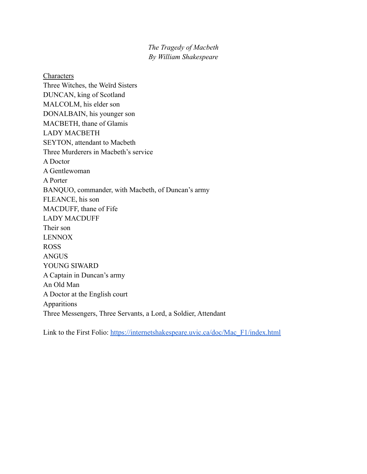*The Tragedy of Macbeth By William Shakespeare*

Characters Three Witches, the Weïrd Sisters DUNCAN, king of Scotland MALCOLM, his elder son DONALBAIN, his younger son MACBETH, thane of Glamis LADY MACBETH SEYTON, attendant to Macbeth Three Murderers in Macbeth's service A Doctor A Gentlewoman A Porter BANQUO, commander, with Macbeth, of Duncan's army FLEANCE, his son MACDUFF, thane of Fife LADY MACDUFF Their son LENNOX ROSS ANGUS YOUNG SIWARD A Captain in Duncan's army An Old Man A Doctor at the English court Apparitions Three Messengers, Three Servants, a Lord, a Soldier, Attendant

Link to the First Folio: [https://internetshakespeare.uvic.ca/doc/Mac\\_F1/index.html](https://internetshakespeare.uvic.ca/doc/Mac_F1/index.html)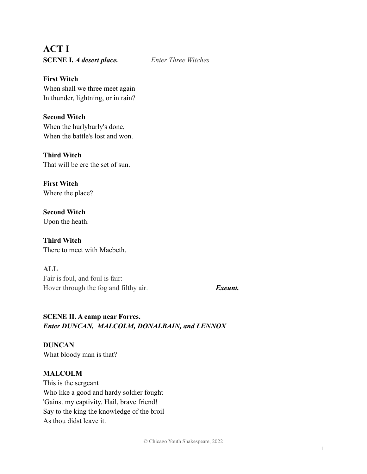**ACT I SCENE I.** *A desert place. Enter Three Witches*

**First Witch** When shall we three meet again In thunder, lightning, or in rain?

**Second Witch** When the hurlyburly's done, When the battle's lost and won.

**Third Witch** That will be ere the set of sun.

**First Witch** Where the place?

**Second Witch** Upon the heath.

**Third Witch** There to meet with Macbeth.

**ALL** Fair is foul, and foul is fair: Hover through the fog and filthy air. *Exeunt.*

# **SCENE II. A camp near Forres.** *Enter DUNCAN, MALCOLM, DONALBAIN, and LENNOX*

**DUNCAN** What bloody man is that?

# **MALCOLM**

This is the sergeant Who like a good and hardy soldier fought 'Gainst my captivity. Hail, brave friend! Say to the king the knowledge of the broil As thou didst leave it.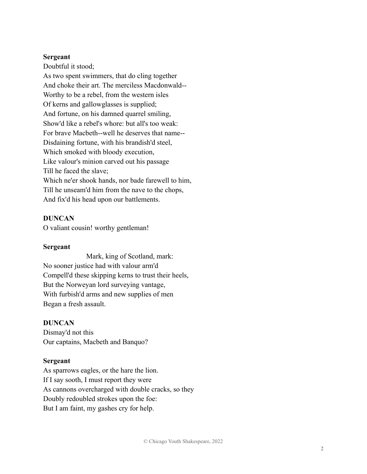#### **Sergeant**

Doubtful it stood;

As two spent swimmers, that do cling together And choke their art. The merciless Macdonwald-- Worthy to be a rebel, from the western isles Of kerns and gallowglasses is supplied; And fortune, on his damned quarrel smiling, Show'd like a rebel's whore: but all's too weak: For brave Macbeth--well he deserves that name-- Disdaining fortune, with his brandish'd steel, Which smoked with bloody execution, Like valour's minion carved out his passage Till he faced the slave; Which ne'er shook hands, nor bade farewell to him, Till he unseam'd him from the nave to the chops, And fix'd his head upon our battlements.

#### **DUNCAN**

O valiant cousin! worthy gentleman!

#### **Sergeant**

Mark, king of Scotland, mark: No sooner justice had with valour arm'd Compell'd these skipping kerns to trust their heels, But the Norweyan lord surveying vantage, With furbish'd arms and new supplies of men Began a fresh assault.

#### **DUNCAN**

Dismay'd not this Our captains, Macbeth and Banquo?

#### **Sergeant**

As sparrows eagles, or the hare the lion. If I say sooth, I must report they were As cannons overcharged with double cracks, so they Doubly redoubled strokes upon the foe: But I am faint, my gashes cry for help.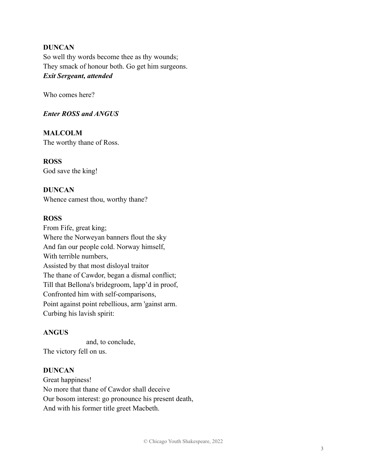#### **DUNCAN**

So well thy words become thee as thy wounds; They smack of honour both. Go get him surgeons. *Exit Sergeant, attended*

Who comes here?

#### *Enter ROSS and ANGUS*

# **MALCOLM**

The worthy thane of Ross.

#### **ROSS** God save the king!

# **DUNCAN**

Whence camest thou, worthy thane?

#### **ROSS**

From Fife, great king; Where the Norweyan banners flout the sky And fan our people cold. Norway himself, With terrible numbers, Assisted by that most disloyal traitor The thane of Cawdor, began a dismal conflict; Till that Bellona's bridegroom, lapp'd in proof, Confronted him with self-comparisons, Point against point rebellious, arm 'gainst arm. Curbing his lavish spirit:

# **ANGUS**

and, to conclude, The victory fell on us.

#### **DUNCAN**

Great happiness! No more that thane of Cawdor shall deceive Our bosom interest: go pronounce his present death, And with his former title greet Macbeth.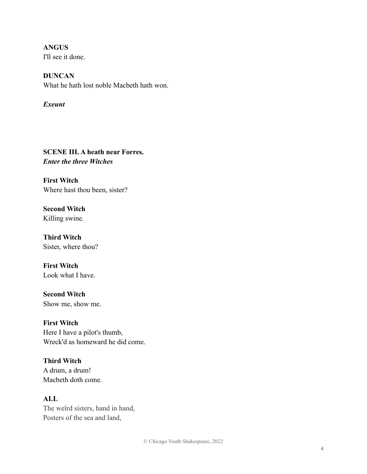**ANGUS** I'll see it done.

**DUNCAN** What he hath lost noble Macbeth hath won.

*Exeunt*

**SCENE III. A heath near Forres.** *Enter the three Witches*

**First Witch** Where hast thou been, sister?

**Second Witch** Killing swine.

**Third Witch** Sister, where thou?

**First Witch** Look what I have.

**Second Witch** Show me, show me.

**First Witch** Here I have a pilot's thumb, Wreck'd as homeward he did come.

**Third Witch** A drum, a drum! Macbeth doth come.

**ALL** The weïrd sisters, hand in hand, Posters of the sea and land,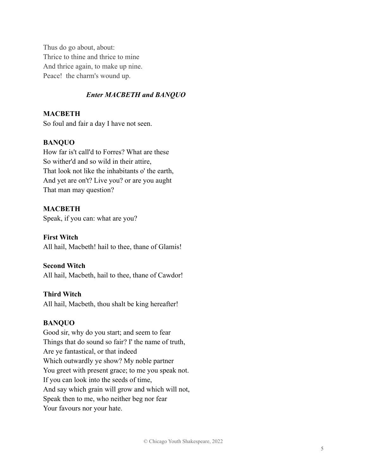Thus do go about, about: Thrice to thine and thrice to mine And thrice again, to make up nine. Peace! the charm's wound up.

#### *Enter MACBETH and BANQUO*

#### **MACBETH**

So foul and fair a day I have not seen.

#### **BANQUO**

How far is't call'd to Forres? What are these So wither'd and so wild in their attire, That look not like the inhabitants o' the earth, And yet are on't? Live you? or are you aught That man may question?

#### **MACBETH**

Speak, if you can: what are you?

#### **First Witch**

All hail, Macbeth! hail to thee, thane of Glamis!

#### **Second Witch**

All hail, Macbeth, hail to thee, thane of Cawdor!

#### **Third Witch**

All hail, Macbeth, thou shalt be king hereafter!

#### **BANQUO**

Good sir, why do you start; and seem to fear Things that do sound so fair? I' the name of truth, Are ye fantastical, or that indeed Which outwardly ye show? My noble partner You greet with present grace; to me you speak not. If you can look into the seeds of time, And say which grain will grow and which will not, Speak then to me, who neither beg nor fear Your favours nor your hate.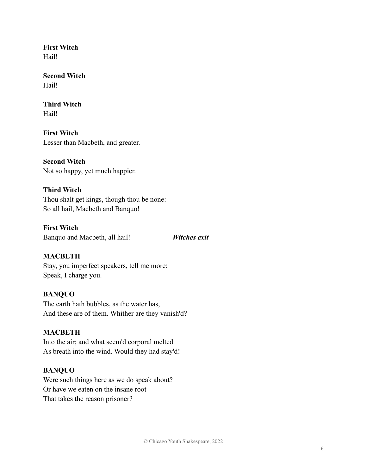**First Witch** Hail!

**Second Witch** Hail!

**Third Witch** Hail!

**First Witch** Lesser than Macbeth, and greater.

**Second Witch** Not so happy, yet much happier.

# **Third Witch**

Thou shalt get kings, though thou be none: So all hail, Macbeth and Banquo!

**First Witch** Banquo and Macbeth, all hail! *Witches exit*

#### **MACBETH**

Stay, you imperfect speakers, tell me more: Speak, I charge you.

#### **BANQUO**

The earth hath bubbles, as the water has, And these are of them. Whither are they vanish'd?

#### **MACBETH**

Into the air; and what seem'd corporal melted As breath into the wind. Would they had stay'd!

#### **BANQUO**

Were such things here as we do speak about? Or have we eaten on the insane root That takes the reason prisoner?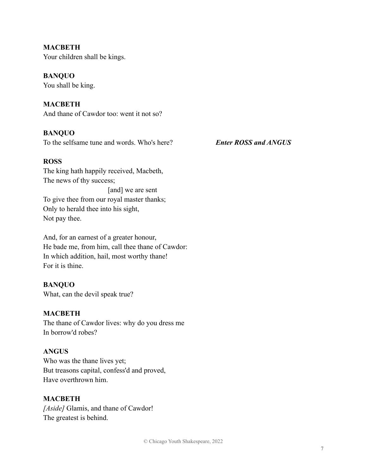**MACBETH** Your children shall be kings.

#### **BANQUO**

You shall be king.

#### **MACBETH**

And thane of Cawdor too: went it not so?

#### **BANQUO**

To the selfsame tune and words. Who's here? *Enter ROSS and ANGUS*

#### **ROSS**

The king hath happily received, Macbeth, The news of thy success; [and] we are sent To give thee from our royal master thanks; Only to herald thee into his sight, Not pay thee.

And, for an earnest of a greater honour, He bade me, from him, call thee thane of Cawdor: In which addition, hail, most worthy thane! For it is thine.

#### **BANQUO**

What, can the devil speak true?

#### **MACBETH**

The thane of Cawdor lives: why do you dress me In borrow'd robes?

#### **ANGUS**

Who was the thane lives yet; But treasons capital, confess'd and proved, Have overthrown him.

#### **MACBETH**

*[Aside]* Glamis, and thane of Cawdor! The greatest is behind.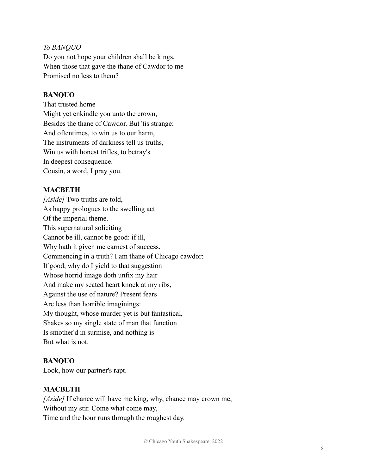#### *To BANQUO*

Do you not hope your children shall be kings, When those that gave the thane of Cawdor to me Promised no less to them?

#### **BANQUO**

That trusted home Might yet enkindle you unto the crown, Besides the thane of Cawdor. But 'tis strange: And oftentimes, to win us to our harm, The instruments of darkness tell us truths, Win us with honest trifles, to betray's In deepest consequence. Cousin, a word, I pray you.

#### **MACBETH**

*[Aside]* Two truths are told, As happy prologues to the swelling act Of the imperial theme. This supernatural soliciting Cannot be ill, cannot be good: if ill, Why hath it given me earnest of success, Commencing in a truth? I am thane of Chicago cawdor: If good, why do I yield to that suggestion Whose horrid image doth unfix my hair And make my seated heart knock at my ribs, Against the use of nature? Present fears Are less than horrible imaginings: My thought, whose murder yet is but fantastical, Shakes so my single state of man that function Is smother'd in surmise, and nothing is But what is not.

#### **BANQUO**

Look, how our partner's rapt.

#### **MACBETH**

*[Aside]* If chance will have me king, why, chance may crown me, Without my stir. Come what come may, Time and the hour runs through the roughest day.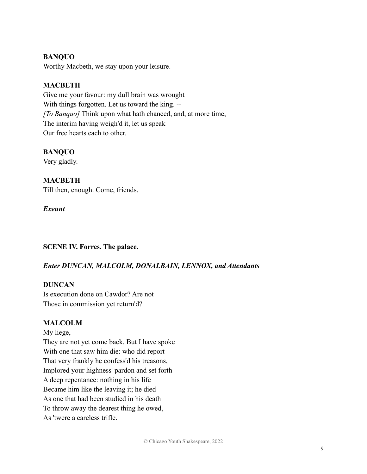### **BANQUO**

Worthy Macbeth, we stay upon your leisure.

# **MACBETH**

Give me your favour: my dull brain was wrought With things forgotten. Let us toward the king. -- *[To Banquo]* Think upon what hath chanced, and, at more time, The interim having weigh'd it, let us speak Our free hearts each to other.

#### **BANQUO**

Very gladly.

# **MACBETH**

Till then, enough. Come, friends.

#### *Exeunt*

**SCENE IV. Forres. The palace.**

#### *Enter DUNCAN, MALCOLM, DONALBAIN, LENNOX, and Attendants*

#### **DUNCAN**

Is execution done on Cawdor? Are not Those in commission yet return'd?

#### **MALCOLM**

My liege, They are not yet come back. But I have spoke With one that saw him die: who did report That very frankly he confess'd his treasons, Implored your highness' pardon and set forth A deep repentance: nothing in his life Became him like the leaving it; he died As one that had been studied in his death To throw away the dearest thing he owed, As 'twere a careless trifle.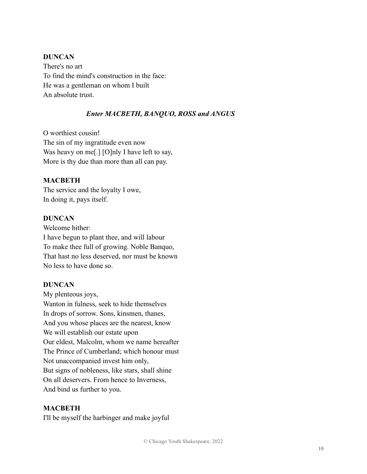#### **DUNCAN**

There's no art To find the mind's construction in the face: He was a gentleman on whom I built An absolute trust.

#### *Enter MACBETH, BANQUO, ROSS and ANGUS*

O worthiest cousin! The sin of my ingratitude even now Was heavy on me[.] [O]nly I have left to say, More is thy due than more than all can pay.

#### **MACBETH**

The service and the loyalty I owe, In doing it, pays itself.

#### **DUNCAN**

Welcome hither: I have begun to plant thee, and will labour To make thee full of growing. Noble Banquo, That hast no less deserved, nor must be known No less to have done so.

#### **DUNCAN**

My plenteous joys, Wanton in fulness, seek to hide themselves In drops of sorrow. Sons, kinsmen, thanes, And you whose places are the nearest, know We will establish our estate upon Our eldest, Malcolm, whom we name hereafter The Prince of Cumberland; which honour must Not unaccompanied invest him only, But signs of nobleness, like stars, shall shine On all deservers. From hence to Inverness, And bind us further to you.

#### **MACBETH**

I'll be myself the harbinger and make joyful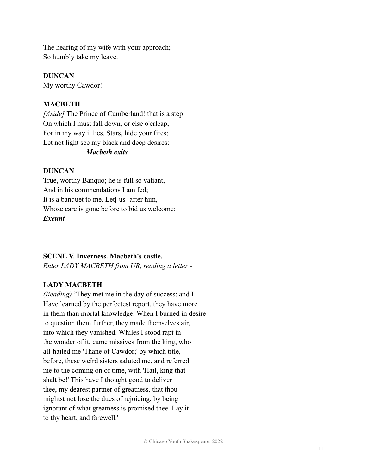The hearing of my wife with your approach; So humbly take my leave.

**DUNCAN**

My worthy Cawdor!

# **MACBETH**

*[Aside]* The Prince of Cumberland! that is a step On which I must fall down, or else o'erleap, For in my way it lies. Stars, hide your fires; Let not light see my black and deep desires: *Macbeth exits*

# **DUNCAN**

True, worthy Banquo; he is full so valiant, And in his commendations I am fed; It is a banquet to me. Let<sup>[</sup> us] after him, Whose care is gone before to bid us welcome: *Exeunt*

# **SCENE V. Inverness. Macbeth's castle.**

*Enter LADY MACBETH from UR, reading a letter -*

# **LADY MACBETH**

*(Reading)* 'They met me in the day of success: and I Have learned by the perfectest report, they have more in them than mortal knowledge. When I burned in desire to question them further, they made themselves air, into which they vanished. Whiles I stood rapt in the wonder of it, came missives from the king, who all-hailed me 'Thane of Cawdor;' by which title, before, these weïrd sisters saluted me, and referred me to the coming on of time, with 'Hail, king that shalt be!' This have I thought good to deliver thee, my dearest partner of greatness, that thou mightst not lose the dues of rejoicing, by being ignorant of what greatness is promised thee. Lay it to thy heart, and farewell.'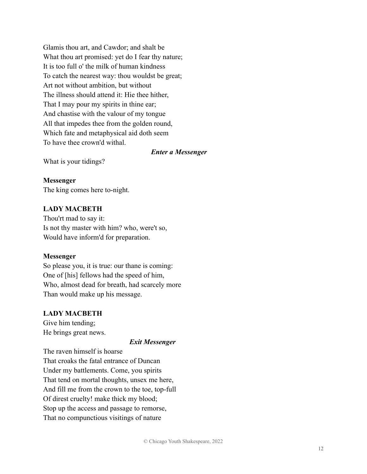Glamis thou art, and Cawdor; and shalt be What thou art promised: yet do I fear thy nature; It is too full o' the milk of human kindness To catch the nearest way: thou wouldst be great; Art not without ambition, but without The illness should attend it: Hie thee hither, That I may pour my spirits in thine ear; And chastise with the valour of my tongue All that impedes thee from the golden round, Which fate and metaphysical aid doth seem To have thee crown'd withal.

#### *Enter a Messenger*

What is your tidings?

**Messenger** The king comes here to-night.

#### **LADY MACBETH**

Thou'rt mad to say it: Is not thy master with him? who, were't so, Would have inform'd for preparation.

#### **Messenger**

So please you, it is true: our thane is coming: One of [his] fellows had the speed of him, Who, almost dead for breath, had scarcely more Than would make up his message.

#### **LADY MACBETH**

Give him tending; He brings great news.

#### *Exit Messenger*

The raven himself is hoarse That croaks the fatal entrance of Duncan Under my battlements. Come, you spirits That tend on mortal thoughts, unsex me here, And fill me from the crown to the toe, top-full Of direst cruelty! make thick my blood; Stop up the access and passage to remorse, That no compunctious visitings of nature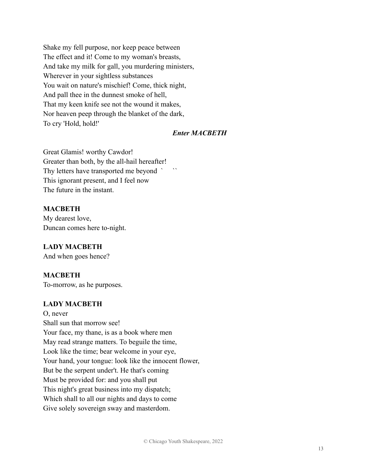Shake my fell purpose, nor keep peace between The effect and it! Come to my woman's breasts, And take my milk for gall, you murdering ministers, Wherever in your sightless substances You wait on nature's mischief! Come, thick night, And pall thee in the dunnest smoke of hell, That my keen knife see not the wound it makes, Nor heaven peep through the blanket of the dark, To cry 'Hold, hold!'

# *Enter MACBETH*

Great Glamis! worthy Cawdor! Greater than both, by the all-hail hereafter! Thy letters have transported me beyond ` ` This ignorant present, and I feel now The future in the instant.

#### **MACBETH**

My dearest love, Duncan comes here to-night.

#### **LADY MACBETH**

And when goes hence?

#### **MACBETH**

To-morrow, as he purposes.

#### **LADY MACBETH**

O, never Shall sun that morrow see! Your face, my thane, is as a book where men May read strange matters. To beguile the time, Look like the time; bear welcome in your eye, Your hand, your tongue: look like the innocent flower, But be the serpent under't. He that's coming Must be provided for: and you shall put This night's great business into my dispatch; Which shall to all our nights and days to come Give solely sovereign sway and masterdom.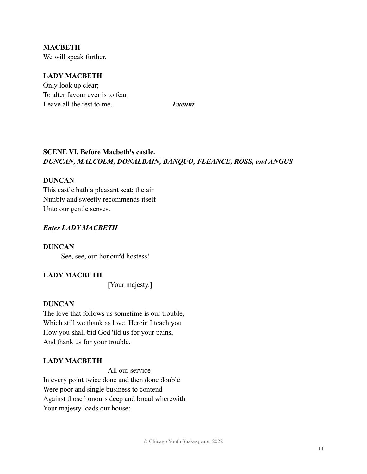**MACBETH** We will speak further.

# **LADY MACBETH**

Only look up clear; To alter favour ever is to fear: Leave all the rest to me. *Exeunt*

# **SCENE VI. Before Macbeth's castle.** *DUNCAN, MALCOLM, DONALBAIN, BANQUO, FLEANCE, ROSS, and ANGUS*

#### **DUNCAN**

This castle hath a pleasant seat; the air Nimbly and sweetly recommends itself Unto our gentle senses.

#### *Enter LADY MACBETH*

**DUNCAN** See, see, our honour'd hostess!

# **LADY MACBETH**

[Your majesty.]

#### **DUNCAN**

The love that follows us sometime is our trouble, Which still we thank as love. Herein I teach you How you shall bid God 'ild us for your pains, And thank us for your trouble.

#### **LADY MACBETH**

All our service

In every point twice done and then done double Were poor and single business to contend Against those honours deep and broad wherewith Your majesty loads our house: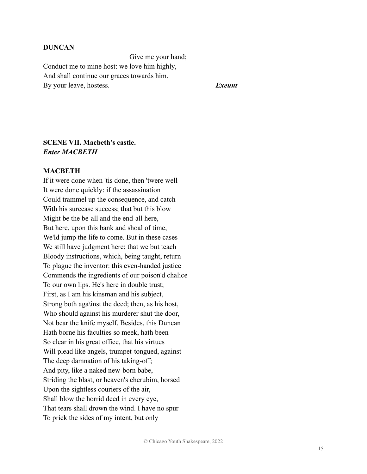#### **DUNCAN**

Give me your hand; Conduct me to mine host: we love him highly, And shall continue our graces towards him. By your leave, hostess. *Exeunt*

### **SCENE VII. Macbeth's castle.** *Enter MACBETH*

#### **MACBETH**

If it were done when 'tis done, then 'twere well It were done quickly: if the assassination Could trammel up the consequence, and catch With his surcease success; that but this blow Might be the be-all and the end-all here, But here, upon this bank and shoal of time, We'ld jump the life to come. But in these cases We still have judgment here; that we but teach Bloody instructions, which, being taught, return To plague the inventor: this even-handed justice Commends the ingredients of our poison'd chalice To our own lips. He's here in double trust; First, as I am his kinsman and his subject, Strong both aga\inst the deed; then, as his host, Who should against his murderer shut the door, Not bear the knife myself. Besides, this Duncan Hath borne his faculties so meek, hath been So clear in his great office, that his virtues Will plead like angels, trumpet-tongued, against The deep damnation of his taking-off; And pity, like a naked new-born babe, Striding the blast, or heaven's cherubim, horsed Upon the sightless couriers of the air, Shall blow the horrid deed in every eye, That tears shall drown the wind. I have no spur To prick the sides of my intent, but only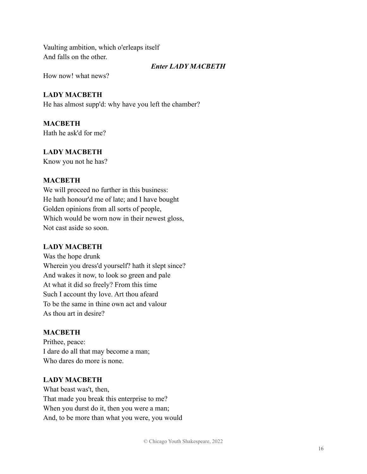Vaulting ambition, which o'erleaps itself And falls on the other.

#### *Enter LADY MACBETH*

How now! what news?

#### **LADY MACBETH**

He has almost supp'd: why have you left the chamber?

# **MACBETH**

Hath he ask'd for me?

# **LADY MACBETH**

Know you not he has?

#### **MACBETH**

We will proceed no further in this business: He hath honour'd me of late; and I have bought Golden opinions from all sorts of people, Which would be worn now in their newest gloss, Not cast aside so soon.

#### **LADY MACBETH**

Was the hope drunk Wherein you dress'd yourself? hath it slept since? And wakes it now, to look so green and pale At what it did so freely? From this time Such I account thy love. Art thou afeard To be the same in thine own act and valour As thou art in desire?

#### **MACBETH**

Prithee, peace: I dare do all that may become a man; Who dares do more is none.

#### **LADY MACBETH**

What beast was't, then, That made you break this enterprise to me? When you durst do it, then you were a man; And, to be more than what you were, you would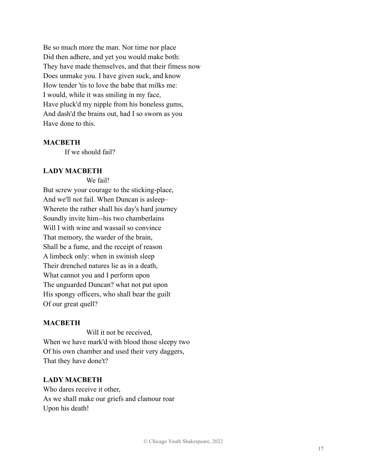Be so much more the man. Nor time nor place Did then adhere, and yet you would make both: They have made themselves, and that their fitness now Does unmake you. I have given suck, and know How tender 'tis to love the babe that milks me: I would, while it was smiling in my face, Have pluck'd my nipple from his boneless gums, And dash'd the brains out, had I so sworn as you Have done to this.

#### **MACBETH**

If we should fail?

#### **LADY MACBETH**

We fail!

But screw your courage to the sticking-place, And we'll not fail. When Duncan is asleep– Whereto the rather shall his day's hard journey Soundly invite him--his two chamberlains Will I with wine and wassail so convince That memory, the warder of the brain, Shall be a fume, and the receipt of reason A limbeck only: when in swinish sleep Their drench*e*d natures lie as in a death, What cannot you and I perform upon The unguarded Duncan? what not put upon His spongy officers, who shall bear the guilt Of our great quell?

#### **MACBETH**

Will it not be received, When we have mark'd with blood those sleepy two Of his own chamber and used their very daggers, That they have done't?

#### **LADY MACBETH**

Who dares receive it other, As we shall make our griefs and clamour roar Upon his death!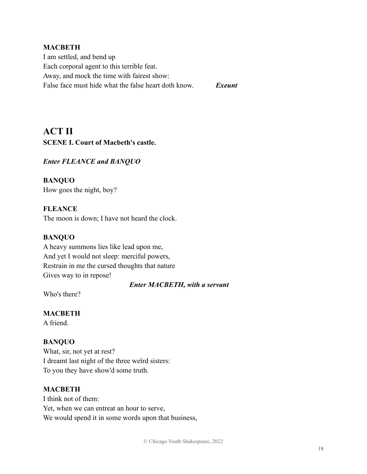#### **MACBETH**

I am settled, and bend up Each corporal agent to this terrible feat. Away, and mock the time with fairest show: False face must hide what the false heart doth know. *Exeunt*

**ACT II SCENE I. Court of Macbeth's castle.**

*Enter FLEANCE and BANQUO*

**BANQUO** How goes the night, boy?

**FLEANCE** The moon is down; I have not heard the clock.

#### **BANQUO**

A heavy summons lies like lead upon me, And yet I would not sleep: merciful powers, Restrain in me the cursed thoughts that nature Gives way to in repose!

*Enter MACBETH, with a servant*

Who's there?

**MACBETH**

A friend.

#### **BANQUO**

What, sir, not yet at rest? I dreamt last night of the three weïrd sisters: To you they have show'd some truth.

#### **MACBETH**

I think not of them: Yet, when we can entreat an hour to serve, We would spend it in some words upon that business,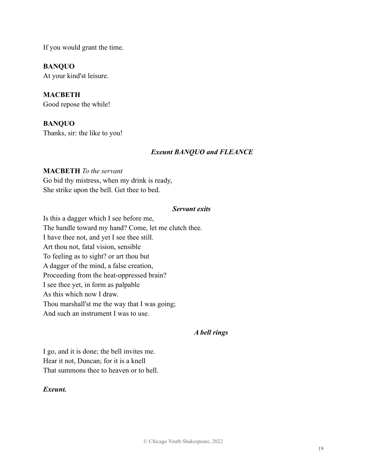If you would grant the time.

**BANQUO**

At your kind'st leisure.

**MACBETH** Good repose the while!

**BANQUO** Thanks, sir: the like to you!

# *Exeunt BANQUO and FLEANCE*

# **MACBETH** *To the servant* Go bid thy mistress, when my drink is ready, She strike upon the bell. Get thee to bed.

#### *Servant exits*

Is this a dagger which I see before me, The handle toward my hand? Come, let me clutch thee. I have thee not, and yet I see thee still. Art thou not, fatal vision, sensible To feeling as to sight? or art thou but A dagger of the mind, a false creation, Proceeding from the heat-oppressed brain? I see thee yet, in form as palpable As this which now I draw. Thou marshall'st me the way that I was going; And such an instrument I was to use.

#### *A bell rings*

I go, and it is done; the bell invites me. Hear it not, Duncan; for it is a knell That summons thee to heaven or to hell.

#### *Exeunt.*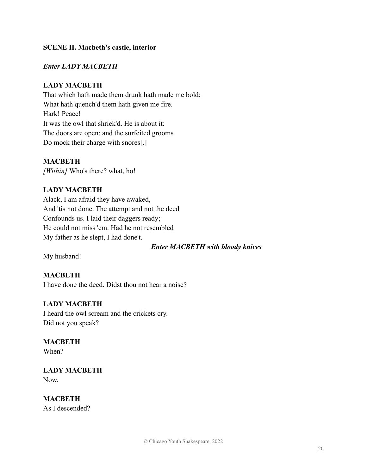#### **SCENE II. Macbeth's castle, interior**

#### *Enter LADY MACBETH*

#### **LADY MACBETH**

That which hath made them drunk hath made me bold; What hath quench'd them hath given me fire. Hark! Peace! It was the owl that shriek'd. He is about it: The doors are open; and the surfeited grooms Do mock their charge with snores[.]

#### **MACBETH**

*[Within]* Who's there? what, ho!

#### **LADY MACBETH**

Alack, I am afraid they have awaked, And 'tis not done. The attempt and not the deed Confounds us. I laid their daggers ready; He could not miss 'em. Had he not resembled My father as he slept, I had done't.

*Enter MACBETH with bloody knives*

My husband!

#### **MACBETH**

I have done the deed. Didst thou not hear a noise?

#### **LADY MACBETH**

I heard the owl scream and the crickets cry. Did not you speak?

# **MACBETH**

When?

**LADY MACBETH** Now.

**MACBETH** As I descended?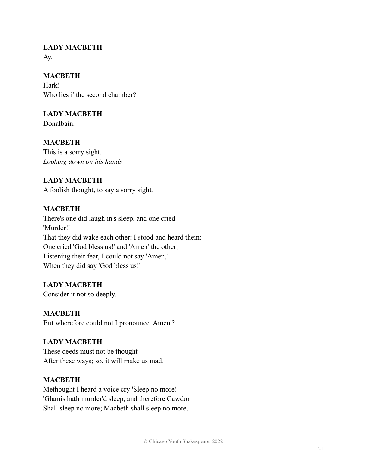# **LADY MACBETH**

Ay.

# **MACBETH**

Hark! Who lies i' the second chamber?

# **LADY MACBETH**

Donalbain.

# **MACBETH**

This is a sorry sight. *Looking down on his hands*

# **LADY MACBETH**

A foolish thought, to say a sorry sight.

# **MACBETH**

There's one did laugh in's sleep, and one cried 'Murder!' That they did wake each other: I stood and heard them: One cried 'God bless us!' and 'Amen' the other; Listening their fear, I could not say 'Amen,' When they did say 'God bless us!'

# **LADY MACBETH**

Consider it not so deeply.

# **MACBETH**

But wherefore could not I pronounce 'Amen'?

#### **LADY MACBETH**

These deeds must not be thought After these ways; so, it will make us mad.

#### **MACBETH**

Methought I heard a voice cry 'Sleep no more! 'Glamis hath murder'd sleep, and therefore Cawdor Shall sleep no more; Macbeth shall sleep no more.'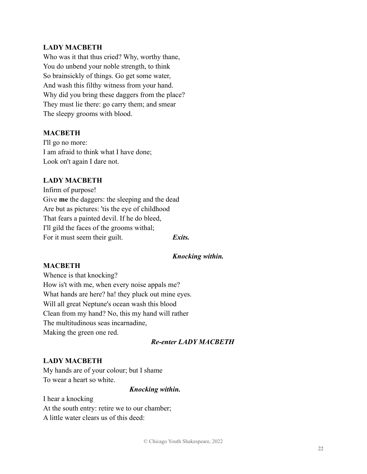### **LADY MACBETH**

Who was it that thus cried? Why, worthy thane, You do unbend your noble strength, to think So brainsickly of things. Go get some water, And wash this filthy witness from your hand. Why did you bring these daggers from the place? They must lie there: go carry them; and smear The sleepy grooms with blood.

#### **MACBETH**

I'll go no more: I am afraid to think what I have done; Look on't again I dare not.

#### **LADY MACBETH**

Infirm of purpose! Give **me** the daggers: the sleeping and the dead Are but as pictures: 'tis the eye of childhood That fears a painted devil. If he do bleed, I'll gild the faces of the grooms withal; For it must seem their guilt. **Exits.** 

#### *Knocking within.*

#### **MACBETH**

Whence is that knocking? How is't with me, when every noise appals me? What hands are here? ha! they pluck out mine eyes. Will all great Neptune's ocean wash this blood Clean from my hand? No, this my hand will rather The multitudinous seas incarnadine, Making the green one red.

#### *Re-enter LADY MACBETH*

#### **LADY MACBETH**

My hands are of your colour; but I shame To wear a heart so white.

#### *Knocking within.*

I hear a knocking At the south entry: retire we to our chamber; A little water clears us of this deed: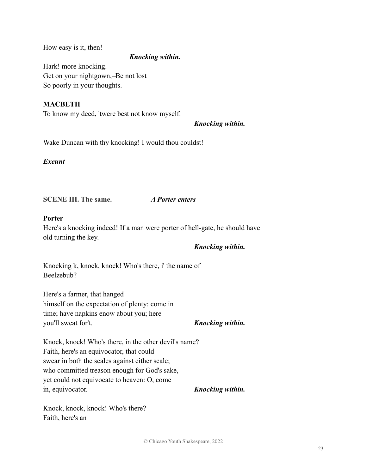How easy is it, then!

#### *Knocking within.*

Hark! more knocking. Get on your nightgown, -Be not lost So poorly in your thoughts.

### **MACBETH**

To know my deed, 'twere best not know myself.

# *Knocking within.*

Wake Duncan with thy knocking! I would thou couldst!

*Exeunt*

**SCENE III. The same.** *A Porter enters*

# **Porter**

Here's a knocking indeed! If a man were porter of hell-gate, he should have old turning the key.

#### *Knocking within.*

Knocking k, knock, knock! Who's there, i' the name of Beelzebub?

Here's a farmer, that hanged himself on the expectation of plenty: come in time; have napkins enow about you; here you'll sweat for't. *Knocking within.*

Knock, knock! Who's there, in the other devil's name? Faith, here's an equivocator, that could swear in both the scales against either scale; who committed treason enough for God's sake, yet could not equivocate to heaven: O, come in, equivocator. *Knocking within.*

Knock, knock, knock! Who's there? Faith, here's an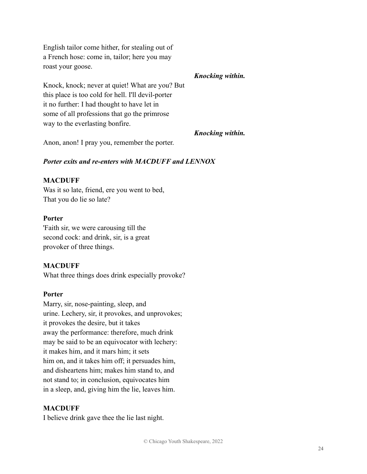English tailor come hither, for stealing out of a French hose: come in, tailor; here you may roast your goose.

Knock, knock; never at quiet! What are you? But this place is too cold for hell. I'll devil-porter it no further: I had thought to have let in some of all professions that go the primrose way to the everlasting bonfire.

*Knocking within.*

*Knocking within.*

Anon, anon! I pray you, remember the porter.

#### *Porter exits and re-enters with MACDUFF and LENNOX*

#### **MACDUFF**

Was it so late, friend, ere you went to bed, That you do lie so late?

#### **Porter**

'Faith sir, we were carousing till the second cock: and drink, sir, is a great provoker of three things.

#### **MACDUFF**

What three things does drink especially provoke?

#### **Porter**

Marry, sir, nose-painting, sleep, and urine. Lechery, sir, it provokes, and unprovokes; it provokes the desire, but it takes away the performance: therefore, much drink may be said to be an equivocator with lechery: it makes him, and it mars him; it sets him on, and it takes him off; it persuades him, and disheartens him; makes him stand to, and not stand to; in conclusion, equivocates him in a sleep, and, giving him the lie, leaves him.

#### **MACDUFF**

I believe drink gave thee the lie last night.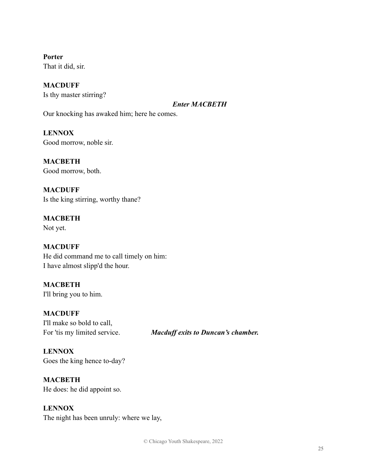**Porter** That it did, sir.

**MACDUFF** Is thy master stirring?

*Enter MACBETH*

Our knocking has awaked him; here he comes.

**LENNOX** Good morrow, noble sir.

**MACBETH** Good morrow, both.

**MACDUFF** Is the king stirring, worthy thane?

**MACBETH** Not yet.

**MACDUFF** He did command me to call timely on him: I have almost slipp'd the hour.

**MACBETH** I'll bring you to him.

**MACDUFF** I'll make so bold to call,

For 'tis my limited service. *Macduff exits to Duncan's chamber.*

**LENNOX** Goes the king hence to-day?

**MACBETH** He does: he did appoint so.

### **LENNOX**

The night has been unruly: where we lay,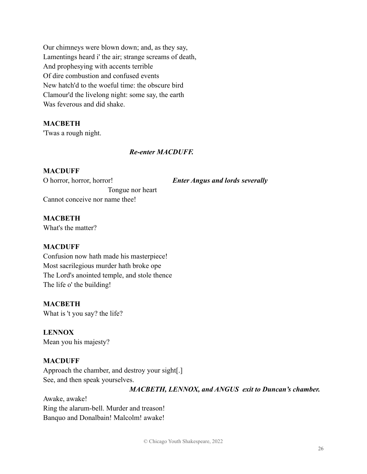Our chimneys were blown down; and, as they say, Lamentings heard i' the air; strange screams of death, And prophesying with accents terrible Of dire combustion and confused events New hatch'd to the woeful time: the obscure bird Clamour'd the livelong night: some say, the earth Was feverous and did shake.

# **MACBETH**

'Twas a rough night.

#### *Re-enter MACDUFF.*

#### **MACDUFF**

O horror, horror, horror! *Enter Angus and lords severally* Tongue nor heart Cannot conceive nor name thee!

# **MACBETH**

What's the matter?

#### **MACDUFF**

Confusion now hath made his masterpiece! Most sacrilegious murder hath broke ope The Lord's anointed temple, and stole thence The life o' the building!

#### **MACBETH**

What is 't you say? the life?

**LENNOX** Mean you his majesty?

#### **MACDUFF**

Approach the chamber, and destroy your sight[.] See, and then speak yourselves.

*MACBETH, LENNOX, and ANGUS exit to Duncan's chamber.*

Awake, awake! Ring the alarum-bell. Murder and treason! Banquo and Donalbain! Malcolm! awake!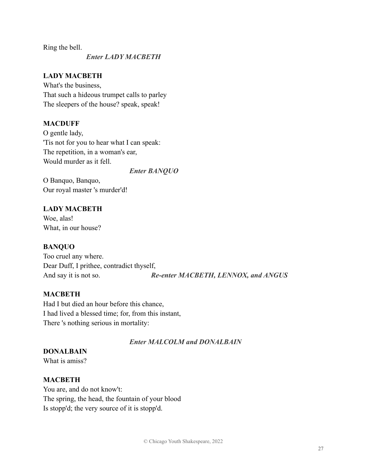Ring the bell.

#### *Enter LADY MACBETH*

### **LADY MACBETH**

What's the business, That such a hideous trumpet calls to parley The sleepers of the house? speak, speak!

#### **MACDUFF**

O gentle lady, 'Tis not for you to hear what I can speak: The repetition, in a woman's ear, Would murder as it fell.

#### *Enter BANQUO*

O Banquo, Banquo, Our royal master 's murder'd!

# **LADY MACBETH** Woe, alas! What, in our house?

#### **BANQUO**

Too cruel any where. Dear Duff, I prithee, contradict thyself, And say it is not so. *Re-enter MACBETH, LENNOX, and ANGUS*

#### **MACBETH**

Had I but died an hour before this chance, I had lived a blessed time; for, from this instant, There 's nothing serious in mortality:

#### *Enter MALCOLM and DONALBAIN*

# **DONALBAIN**

What is amiss?

#### **MACBETH**

You are, and do not know't: The spring, the head, the fountain of your blood Is stopp'd; the very source of it is stopp'd.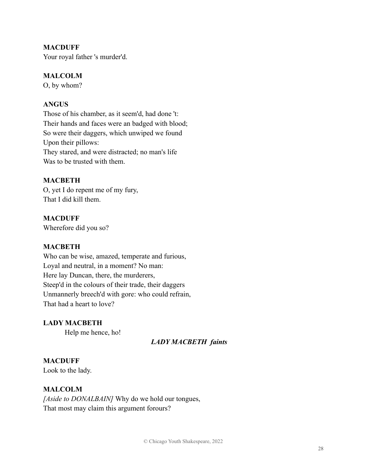#### **MACDUFF**

Your royal father 's murder'd.

#### **MALCOLM**

O, by whom?

#### **ANGUS**

Those of his chamber, as it seem'd, had done 't: Their hands and faces were an badged with blood; So were their daggers, which unwiped we found Upon their pillows: They stared, and were distracted; no man's life Was to be trusted with them.

### **MACBETH**

O, yet I do repent me of my fury, That I did kill them.

### **MACDUFF**

Wherefore did you so?

#### **MACBETH**

Who can be wise, amazed, temperate and furious, Loyal and neutral, in a moment? No man: Here lay Duncan, there, the murderers, Steep'd in the colours of their trade, their daggers Unmannerly breech'd with gore: who could refrain, That had a heart to love?

**LADY MACBETH**

Help me hence, ho!

#### *LADY MACBETH faints*

#### **MACDUFF**

Look to the lady.

#### **MALCOLM**

*[Aside to DONALBAIN]* Why do we hold our tongues, That most may claim this argument forours?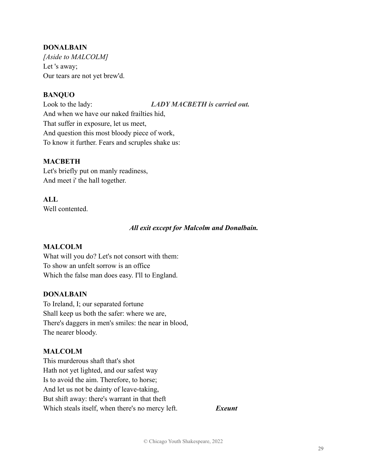#### **DONALBAIN**

*[Aside to MALCOLM]* Let 's away; Our tears are not yet brew'd.

# **BANQUO**

Look to the lady: *LADY MACBETH is carried out.* And when we have our naked frailties hid, That suffer in exposure, let us meet, And question this most bloody piece of work, To know it further. Fears and scruples shake us:

#### **MACBETH**

Let's briefly put on manly readiness, And meet i' the hall together.

# **ALL**

Well contented

#### *All exit except for Malcolm and Donalbain.*

#### **MALCOLM**

What will you do? Let's not consort with them: To show an unfelt sorrow is an office Which the false man does easy. I'll to England.

#### **DONALBAIN**

To Ireland, I; our separated fortune Shall keep us both the safer: where we are, There's daggers in men's smiles: the near in blood, The nearer bloody.

#### **MALCOLM**

This murderous shaft that's shot Hath not yet lighted, and our safest way Is to avoid the aim. Therefore, to horse; And let us not be dainty of leave-taking, But shift away: there's warrant in that theft Which steals itself, when there's no mercy left. *Exeunt*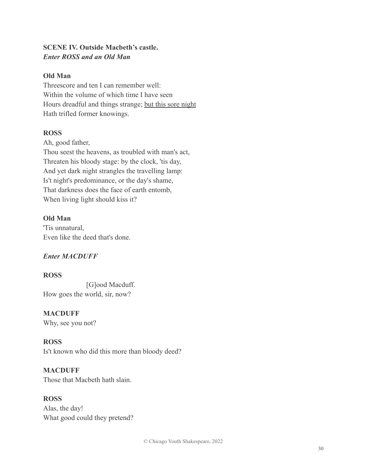# **SCENE IV. Outside Macbeth's castle.** *Enter ROSS and an Old Man*

### **Old Man**

Threescore and ten I can remember well: Within the volume of which time I have seen Hours dreadful and things strange; but this sore night Hath trifled former knowings.

# **ROSS**

Ah, good father,

Thou seest the heavens, as troubled with man's act, Threaten his bloody stage: by the clock, 'tis day, And yet dark night strangles the travelling lamp: Is't night's predominance, or the day's shame, That darkness does the face of earth entomb, When living light should kiss it?

# **Old Man**

'Tis unnatural, Even like the deed that's done.

# *Enter MACDUFF*

#### **ROSS**

[G]ood Macduff. How goes the world, sir, now?

#### **MACDUFF**

Why, see you not?

# **ROSS**

Is't known who did this more than bloody deed?

#### **MACDUFF**

Those that Macbeth hath slain.

# **ROSS**

Alas, the day! What good could they pretend?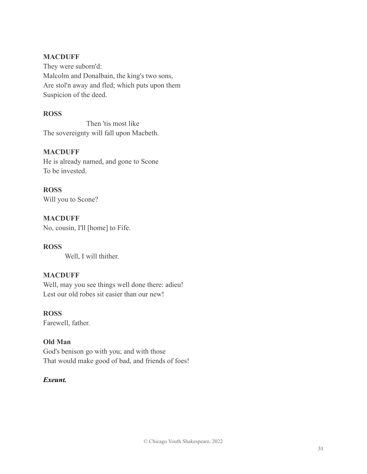### **MACDUFF**

They were suborn'd: Malcolm and Donalbain, the king's two sons, Are stol'n away and fled; which puts upon them Suspicion of the deed.

# **ROSS**

Then 'tis most like The sovereignty will fall upon Macbeth.

# **MACDUFF**

He is already named, and gone to Scone To be invested.

**ROSS** Will you to Scone?

#### **MACDUFF** No, cousin, I'll [home] to Fife.

Well, I will thither.

# **MACDUFF**

Well, may you see things well done there: adieu! Lest our old robes sit easier than our new!

# **ROSS**

**ROSS**

Farewell, father.

# **Old Man**

God's benison go with you; and with those That would make good of bad, and friends of foes!

# *Exeunt.*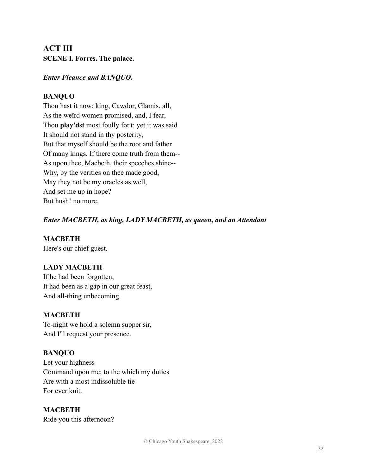# **ACT III SCENE I. Forres. The palace.**

# *Enter Fleance and BANQUO.*

# **BANQUO**

Thou hast it now: king, Cawdor, Glamis, all, As the weïrd women promised, and, I fear, Thou **play'dst** most foully for't: yet it was said It should not stand in thy posterity, But that myself should be the root and father Of many kings. If there come truth from them-- As upon thee, Macbeth, their speeches shine-- Why, by the verities on thee made good, May they not be my oracles as well, And set me up in hope? But hush! no more.

# *Enter MACBETH, as king, LADY MACBETH, as queen, and an Attendant*

**MACBETH** Here's our chief guest.

**LADY MACBETH** If he had been forgotten, It had been as a gap in our great feast, And all-thing unbecoming.

# **MACBETH**

To-night we hold a solemn supper sir, And I'll request your presence.

# **BANQUO**

Let your highness Command upon me; to the which my duties Are with a most indissoluble tie For ever knit.

# **MACBETH**

Ride you this afternoon?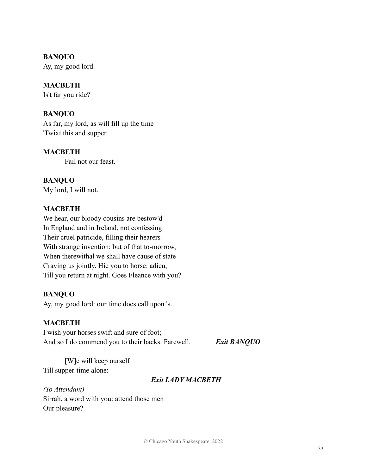#### **BANQUO**

Ay, my good lord.

#### **MACBETH**

Is't far you ride?

#### **BANQUO**

As far, my lord, as will fill up the time 'Twixt this and supper.

#### **MACBETH**

Fail not our feast.

**BANQUO** My lord, I will not.

#### **MACBETH**

We hear, our bloody cousins are bestow'd In England and in Ireland, not confessing Their cruel patricide, filling their hearers With strange invention: but of that to-morrow, When therewithal we shall have cause of state Craving us jointly. Hie you to horse: adieu, Till you return at night. Goes Fleance with you?

#### **BANQUO**

Ay, my good lord: our time does call upon 's.

#### **MACBETH**

I wish your horses swift and sure of foot; And so I do commend you to their backs. Farewell. *Exit BANQUO*

[W]e will keep ourself Till supper-time alone:

#### *Exit LADY MACBETH*

*(To Attendant)* Sirrah, a word with you: attend those men Our pleasure?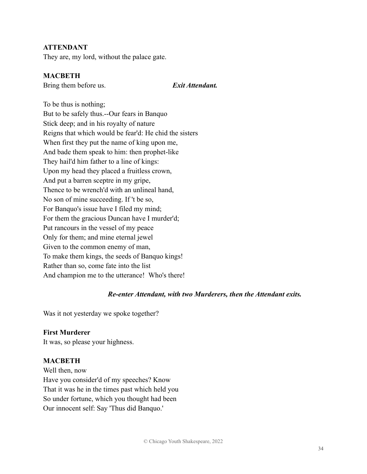#### **ATTENDANT**

They are, my lord, without the palace gate.

#### **MACBETH**

Bring them before us. *Exit Attendant.*

To be thus is nothing; But to be safely thus.--Our fears in Banquo Stick deep; and in his royalty of nature Reigns that which would be fear'd: He chid the sisters When first they put the name of king upon me, And bade them speak to him: then prophet-like They hail'd him father to a line of kings: Upon my head they placed a fruitless crown, And put a barren sceptre in my gripe, Thence to be wrench'd with an unlineal hand, No son of mine succeeding. If 't be so, For Banquo's issue have I filed my mind; For them the gracious Duncan have I murder'd; Put rancours in the vessel of my peace Only for them; and mine eternal jewel Given to the common enemy of man, To make them kings, the seeds of Banquo kings! Rather than so, come fate into the list And champion me to the utterance! Who's there!

#### *Re-enter Attendant, with two Murderers, then the Attendant exits.*

Was it not yesterday we spoke together?

#### **First Murderer**

It was, so please your highness.

#### **MACBETH**

Well then, now Have you consider'd of my speeches? Know That it was he in the times past which held you So under fortune, which you thought had been Our innocent self: Say 'Thus did Banquo.'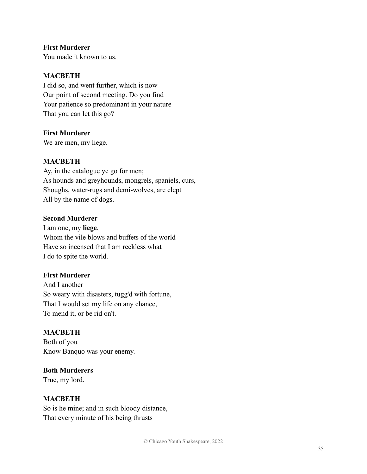# **First Murderer**

You made it known to us.

### **MACBETH**

I did so, and went further, which is now Our point of second meeting. Do you find Your patience so predominant in your nature That you can let this go?

#### **First Murderer**

We are men, my liege.

# **MACBETH**

Ay, in the catalogue ye go for men; As hounds and greyhounds, mongrels, spaniels, curs, Shoughs, water-rugs and demi-wolves, are clept All by the name of dogs.

#### **Second Murderer**

I am one, my **liege**, Whom the vile blows and buffets of the world Have so incensed that I am reckless what I do to spite the world.

### **First Murderer**

And I another So weary with disasters, tugg'd with fortune, That I would set my life on any chance, To mend it, or be rid on't.

#### **MACBETH**

Both of you Know Banquo was your enemy.

# **Both Murderers**

True, my lord.

#### **MACBETH**

So is he mine; and in such bloody distance, That every minute of his being thrusts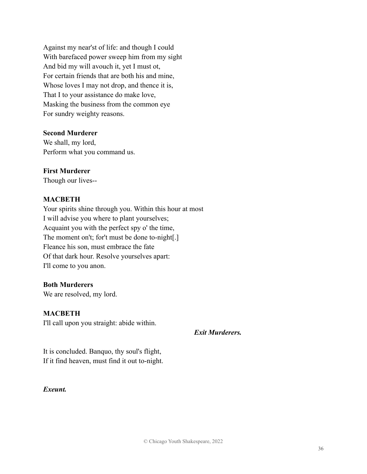Against my near'st of life: and though I could With barefaced power sweep him from my sight And bid my will avouch it, yet I must ot, For certain friends that are both his and mine, Whose loves I may not drop, and thence it is, That I to your assistance do make love, Masking the business from the common eye For sundry weighty reasons.

#### **Second Murderer**

We shall, my lord, Perform what you command us.

## **First Murderer**

Though our lives--

## **MACBETH**

Your spirits shine through you. Within this hour at most I will advise you where to plant yourselves; Acquaint you with the perfect spy o' the time, The moment on't; for't must be done to-night[.] Fleance his son, must embrace the fate Of that dark hour. Resolve yourselves apart: I'll come to you anon.

#### **Both Murderers**

We are resolved, my lord.

## **MACBETH**

I'll call upon you straight: abide within.

*Exit Murderers.*

It is concluded. Banquo, thy soul's flight, If it find heaven, must find it out to-night.

#### *Exeunt.*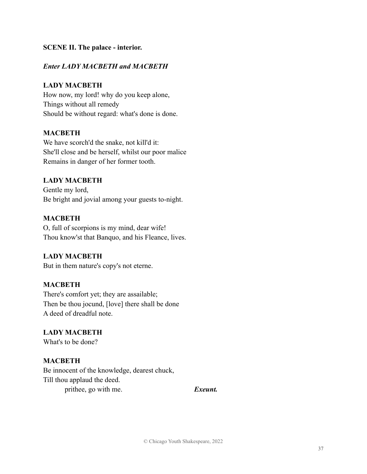### **SCENE II. The palace - interior.**

#### *Enter LADY MACBETH and MACBETH*

#### **LADY MACBETH**

How now, my lord! why do you keep alone, Things without all remedy Should be without regard: what's done is done.

#### **MACBETH**

We have scorch'd the snake, not kill'd it: She'll close and be herself, whilst our poor malice Remains in danger of her former tooth.

#### **LADY MACBETH**

Gentle my lord, Be bright and jovial among your guests to-night.

#### **MACBETH**

O, full of scorpions is my mind, dear wife! Thou know'st that Banquo, and his Fleance, lives.

## **LADY MACBETH**

But in them nature's copy's not eterne.

#### **MACBETH**

There's comfort yet; they are assailable; Then be thou jocund, [love] there shall be done A deed of dreadful note.

# **LADY MACBETH**

What's to be done?

## **MACBETH**

Be innocent of the knowledge, dearest chuck, Till thou applaud the deed. prithee, go with me. **Exeunt.**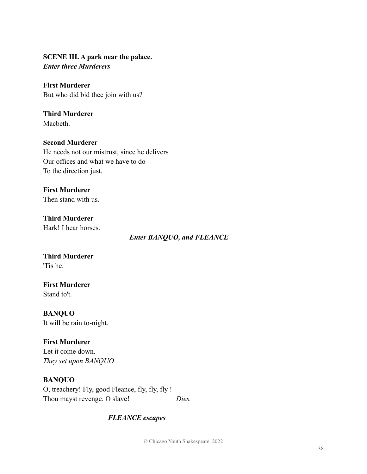# **SCENE III. A park near the palace.** *Enter three Murderers*

# **First Murderer**

But who did bid thee join with us?

#### **Third Murderer** Macbeth.

**Second Murderer** He needs not our mistrust, since he delivers Our offices and what we have to do

To the direction just.

# **First Murderer**

Then stand with us.

#### **Third Murderer** Hark! I hear horses.

*Enter BANQUO, and FLEANCE*

#### **Third Murderer** 'Tis he.

**First Murderer** Stand to't.

**BANQUO** It will be rain to-night.

# **First Murderer**

Let it come down. *They set upon BANQUO*

# **BANQUO**

O, treachery! Fly, good Fleance, fly, fly, fly ! Thou mayst revenge. O slave! *Dies.*

# *FLEANCE escapes*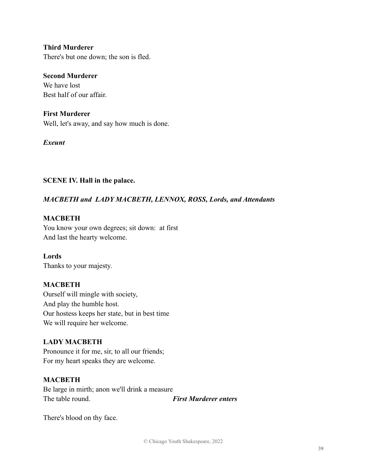**Third Murderer** There's but one down; the son is fled.

#### **Second Murderer**

We have lost Best half of our affair.

#### **First Murderer**

Well, let's away, and say how much is done.

#### *Exeunt*

#### **SCENE IV. Hall in the palace.**

## *MACBETH and LADY MACBETH, LENNOX, ROSS, Lords, and Attendants*

## **MACBETH**

You know your own degrees; sit down: at first And last the hearty welcome.

#### **Lords**

Thanks to your majesty.

## **MACBETH**

Ourself will mingle with society, And play the humble host. Our hostess keeps her state, but in best time We will require her welcome.

## **LADY MACBETH**

Pronounce it for me, sir, to all our friends; For my heart speaks they are welcome.

#### **MACBETH**

Be large in mirth; anon we'll drink a measure The table round. *First Murderer enters*

There's blood on thy face.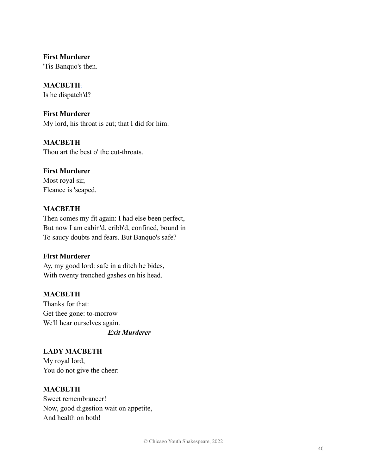**First Murderer** 'Tis Banquo's then.

**MACBETH**.

Is he dispatch'd?

**First Murderer** My lord, his throat is cut; that I did for him.

**MACBETH** Thou art the best o' the cut-throats.

**First Murderer**

Most royal sir, Fleance is 'scaped.

# **MACBETH**

Then comes my fit again: I had else been perfect, But now I am cabin'd, cribb'd, confined, bound in To saucy doubts and fears. But Banquo's safe?

## **First Murderer**

Ay, my good lord: safe in a ditch he bides, With twenty trenched gashes on his head.

## **MACBETH**

Thanks for that: Get thee gone: to-morrow We'll hear ourselves again. *Exit Murderer*

**LADY MACBETH** My royal lord, You do not give the cheer:

## **MACBETH**

Sweet remembrancer! Now, good digestion wait on appetite, And health on both!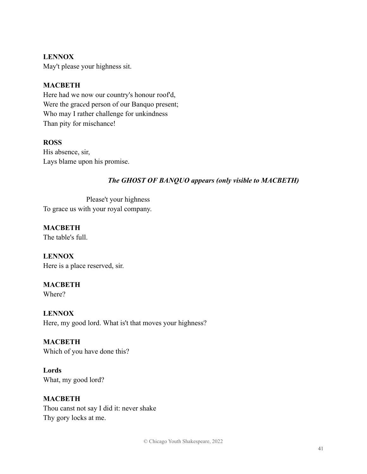# **LENNOX**

May't please your highness sit.

# **MACBETH**

Here had we now our country's honour roof'd, Were the grac*e*d person of our Banquo present; Who may I rather challenge for unkindness Than pity for mischance!

#### **ROSS**

His absence, sir, Lays blame upon his promise.

# *The GHOST OF BANQUO appears (only visible to MACBETH)*

Please't your highness To grace us with your royal company.

**MACBETH** The table's full.

**LENNOX** Here is a place reserved, sir.

## **MACBETH**

Where?

**LENNOX** Here, my good lord. What is't that moves your highness?

**MACBETH** Which of you have done this?

**Lords** What, my good lord?

## **MACBETH**

Thou canst not say I did it: never shake Thy gory locks at me.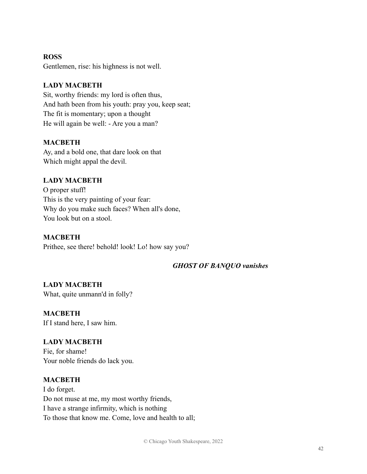#### **ROSS**

Gentlemen, rise: his highness is not well.

# **LADY MACBETH**

Sit, worthy friends: my lord is often thus, And hath been from his youth: pray you, keep seat; The fit is momentary; upon a thought He will again be well: - Are you a man?

## **MACBETH**

Ay, and a bold one, that dare look on that Which might appal the devil.

# **LADY MACBETH**

O proper stuff! This is the very painting of your fear: Why do you make such faces? When all's done, You look but on a stool.

## **MACBETH**

Prithee, see there! behold! look! Lo! how say you?

## *GHOST OF BANQUO vanishes*

**LADY MACBETH** What, quite unmann'd in folly?

**MACBETH** If I stand here, I saw him.

# **LADY MACBETH** Fie, for shame!

Your noble friends do lack you.

## **MACBETH**

I do forget. Do not muse at me, my most worthy friends, I have a strange infirmity, which is nothing To those that know me. Come, love and health to all;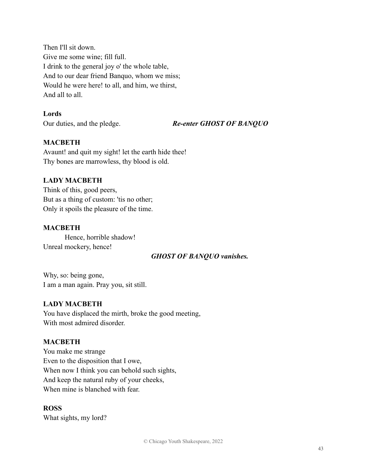Then I'll sit down. Give me some wine; fill full. I drink to the general joy o' the whole table, And to our dear friend Banquo, whom we miss; Would he were here! to all, and him, we thirst, And all to all.

# **Lords**

Our duties, and the pledge. *Re-enter GHOST OF BANQUO*

## **MACBETH**

Avaunt! and quit my sight! let the earth hide thee! Thy bones are marrowless, thy blood is old.

# **LADY MACBETH**

Think of this, good peers, But as a thing of custom: 'tis no other; Only it spoils the pleasure of the time.

## **MACBETH**

Hence, horrible shadow! Unreal mockery, hence!

## *GHOST OF BANQUO vanishes.*

Why, so: being gone, I am a man again. Pray you, sit still.

# **LADY MACBETH**

You have displaced the mirth, broke the good meeting, With most admired disorder.

## **MACBETH**

You make me strange Even to the disposition that I owe, When now I think you can behold such sights, And keep the natural ruby of your cheeks, When mine is blanched with fear.

## **ROSS**

What sights, my lord?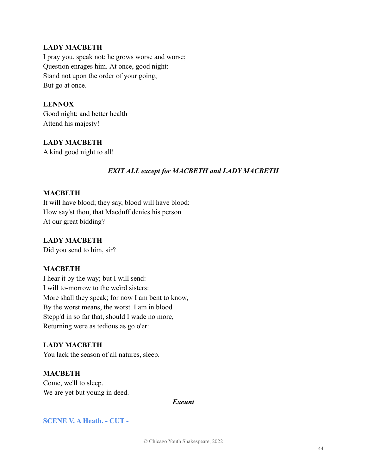#### **LADY MACBETH**

I pray you, speak not; he grows worse and worse; Question enrages him. At once, good night: Stand not upon the order of your going, But go at once.

## **LENNOX**

Good night; and better health Attend his majesty!

**LADY MACBETH** A kind good night to all!

# *EXIT ALL except for MACBETH and LADY MACBETH*

#### **MACBETH**

It will have blood; they say, blood will have blood: How say'st thou, that Macduff denies his person At our great bidding?

#### **LADY MACBETH**

Did you send to him, sir?

#### **MACBETH**

I hear it by the way; but I will send: I will to-morrow to the weïrd sisters: More shall they speak; for now I am bent to know, By the worst means, the worst. I am in blood Stepp'd in so far that, should I wade no more, Returning were as tedious as go o'er:

## **LADY MACBETH**

You lack the season of all natures, sleep.

## **MACBETH**

Come, we'll to sleep. We are yet but young in deed.

#### *Exeunt*

## **SCENE V. A Heath. - CUT -**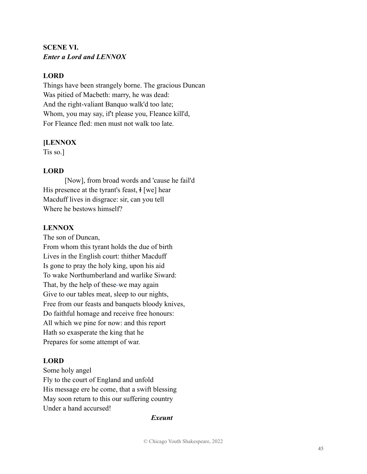# **SCENE VI.** *Enter a Lord and LENNOX*

# **LORD**

Things have been strangely borne. The gracious Duncan Was pitied of Macbeth: marry, he was dead: And the right-valiant Banquo walk'd too late; Whom, you may say, if't please you, Fleance kill'd, For Fleance fled: men must not walk too late.

## **[LENNOX**

Tis so.]

# **LORD**

[Now], from broad words and 'cause he fail'd His presence at the tyrant's feast, H [we] hear Macduff lives in disgrace: sir, can you tell Where he bestows himself?

# **LENNOX**

The son of Duncan, From whom this tyrant holds the due of birth Lives in the English court: thither Macduff Is gone to pray the holy king, upon his aid To wake Northumberland and warlike Siward: That, by the help of these-we may again Give to our tables meat, sleep to our nights, Free from our feasts and banquets bloody knives, Do faithful homage and receive free honours: All which we pine for now: and this report Hath so exasperate the king that he Prepares for some attempt of war.

# **LORD**

Some holy angel Fly to the court of England and unfold His message ere he come, that a swift blessing May soon return to this our suffering country Under a hand accursed!

#### *Exeunt*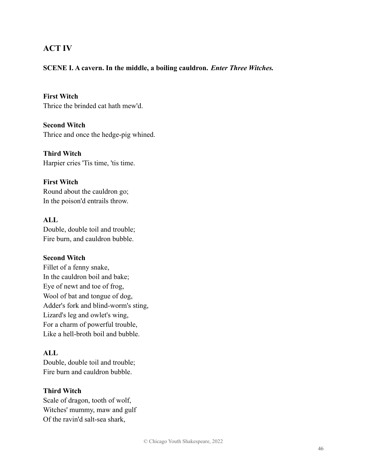# **ACT IV**

#### **SCENE I. A cavern. In the middle, a boiling cauldron.** *Enter Three Witches.*

**First Witch** Thrice the brinded cat hath mew'd.

**Second Witch** Thrice and once the hedge-pig whined.

**Third Witch** Harpier cries 'Tis time, 'tis time.

**First Witch** Round about the cauldron go; In the poison'd entrails throw.

**ALL** Double, double toil and trouble; Fire burn, and cauldron bubble.

#### **Second Witch**

Fillet of a fenny snake, In the cauldron boil and bake; Eye of newt and toe of frog, Wool of bat and tongue of dog, Adder's fork and blind-worm's sting, Lizard's leg and owlet's wing, For a charm of powerful trouble, Like a hell-broth boil and bubble.

# **ALL**

Double, double toil and trouble; Fire burn and cauldron bubble.

#### **Third Witch**

Scale of dragon, tooth of wolf, Witches' mummy, maw and gulf Of the ravin'd salt-sea shark,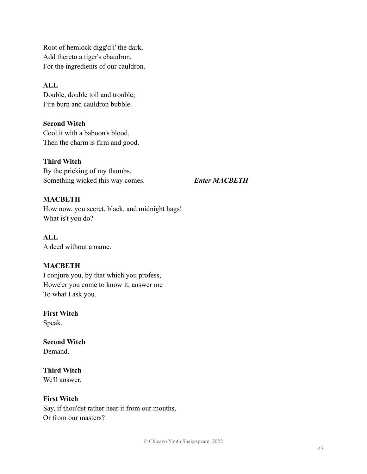Root of hemlock digg'd i' the dark, Add thereto a tiger's chaudron, For the ingredients of our cauldron.

# **ALL**

Double, double toil and trouble; Fire burn and cauldron bubble.

**Second Witch** Cool it with a baboon's blood, Then the charm is firm and good.

**Third Witch**

By the pricking of my thumbs, Something wicked this way comes. *Enter MACBETH*

# **MACBETH**

How now, you secret, black, and midnight hags! What is't you do?

**ALL** A deed without a name.

# **MACBETH**

I conjure you, by that which you profess, Howe'er you come to know it, answer me To what I ask you.

**First Witch**

Speak.

**Second Witch Demand** 

**Third Witch** We'll answer.

# **First Witch**

Say, if thou'dst rather hear it from our mouths, Or from our masters?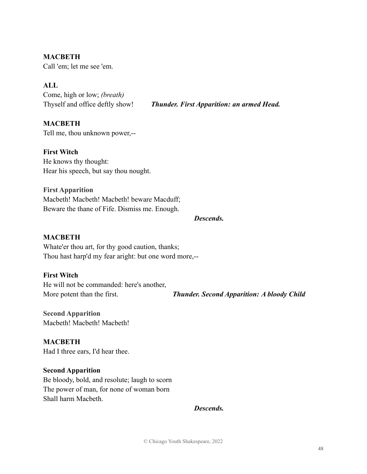**MACBETH** Call 'em; let me see 'em.

# **ALL**

Come, high or low; *(breath)*

Thyself and office deftly show! *Thunder. First Apparition: an armed Head.*

## **MACBETH** Tell me, thou unknown power,--

**First Witch** He knows thy thought: Hear his speech, but say thou nought.

**First Apparition** Macbeth! Macbeth! Macbeth! beware Macduff; Beware the thane of Fife. Dismiss me. Enough.

#### *Descends.*

#### **MACBETH**

Whate'er thou art, for thy good caution, thanks; Thou hast harp'd my fear aright: but one word more,--

## **First Witch**

He will not be commanded: here's another,

More potent than the first. *Thunder. Second Apparition: A bloody Child*

**Second Apparition** Macbeth! Macbeth! Macbeth!

**MACBETH** Had I three ears, I'd hear thee.

## **Second Apparition**

Be bloody, bold, and resolute; laugh to scorn The power of man, for none of woman born Shall harm Macbeth.

*Descends.*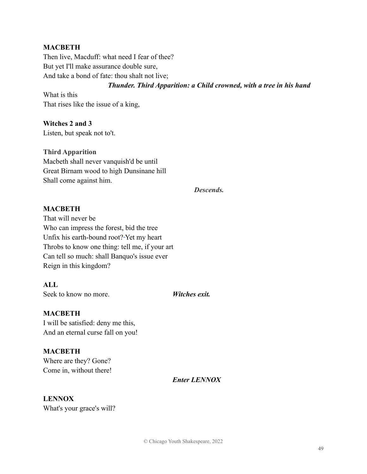#### **MACBETH**

Then live, Macduff: what need I fear of thee? But yet I'll make assurance double sure, And take a bond of fate: thou shalt not live;

*Thunder. Third Apparition: a Child crowned, with a tree in his hand*

What is this That rises like the issue of a king,

**Witches 2 and 3** Listen, but speak not to't.

#### **Third Apparition**

Macbeth shall never vanquish'd be until Great Birnam wood to high Dunsinane hill Shall come against him.

*Descends.*

#### **MACBETH**

That will never be Who can impress the forest, bid the tree Unfix his earth-bound root? Yet my heart Throbs to know one thing: tell me, if your art Can tell so much: shall Banquo's issue ever Reign in this kingdom?

**ALL** Seek to know no more. *Witches exit.* 

#### **MACBETH**

I will be satisfied: deny me this, And an eternal curse fall on you!

**MACBETH** Where are they? Gone? Come in, without there!

*Enter LENNOX*

#### **LENNOX**

What's your grace's will?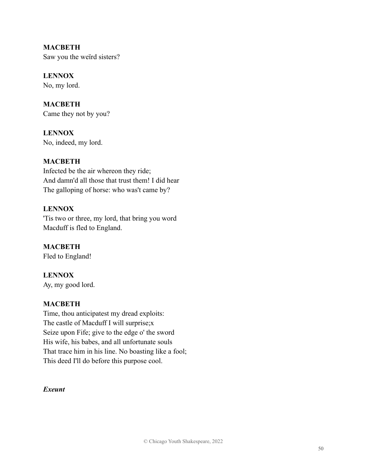**MACBETH** Saw you the weïrd sisters?

**LENNOX** No, my lord.

**MACBETH** Came they not by you?

**LENNOX** No, indeed, my lord.

# **MACBETH**

Infected be the air whereon they ride; And damn'd all those that trust them! I did hear The galloping of horse: who was't came by?

# **LENNOX**

'Tis two or three, my lord, that bring you word Macduff is fled to England.

**MACBETH** Fled to England!

**LENNOX** Ay, my good lord.

## **MACBETH**

Time, thou anticipatest my dread exploits: The castle of Macduff I will surprise;x Seize upon Fife; give to the edge o' the sword His wife, his babes, and all unfortunate souls That trace him in his line. No boasting like a fool; This deed I'll do before this purpose cool.

#### *Exeunt*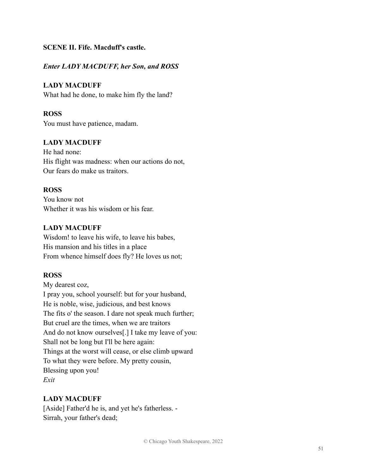## **SCENE II. Fife. Macduff's castle.**

# *Enter LADY MACDUFF, her Son, and ROSS*

# **LADY MACDUFF**

What had he done, to make him fly the land?

# **ROSS**

You must have patience, madam.

# **LADY MACDUFF**

He had none: His flight was madness: when our actions do not, Our fears do make us traitors.

## **ROSS**

You know not Whether it was his wisdom or his fear.

# **LADY MACDUFF**

Wisdom! to leave his wife, to leave his babes, His mansion and his titles in a place From whence himself does fly? He loves us not;

# **ROSS**

My dearest coz, I pray you, school yourself: but for your husband, He is noble, wise, judicious, and best knows The fits o' the season. I dare not speak much further; But cruel are the times, when we are traitors And do not know ourselves[.] I take my leave of you: Shall not be long but I'll be here again: Things at the worst will cease, or else climb upward To what they were before. My pretty cousin, Blessing upon you! *Exit*

# **LADY MACDUFF**

[Aside] Father'd he is, and yet he's fatherless. - Sirrah, your father's dead;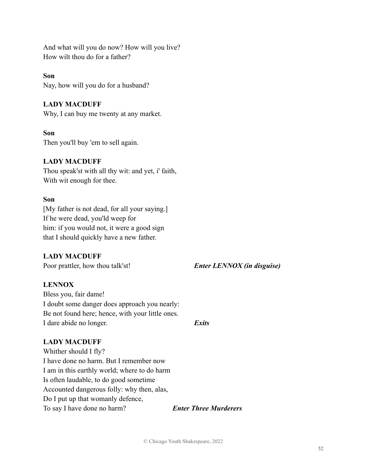And what will you do now? How will you live? How wilt thou do for a father?

#### **Son**

Nay, how will you do for a husband?

#### **LADY MACDUFF**

Why, I can buy me twenty at any market.

#### **Son**

Then you'll buy 'em to sell again.

#### **LADY MACDUFF**

Thou speak'st with all thy wit: and yet, i' faith, With wit enough for thee.

#### **Son**

[My father is not dead, for all your saying.] If he were dead, you'ld weep for him: if you would not, it were a good sign that I should quickly have a new father.

## **LADY MACDUFF**

Poor prattler, how thou talk'st! *Enter LENNOX (in disguise)*

## **LENNOX**

Bless you, fair dame! I doubt some danger does approach you nearly: Be not found here; hence, with your little ones. I dare abide no longer. *Exits*

# **LADY MACDUFF**

Whither should I fly? I have done no harm. But I remember now I am in this earthly world; where to do harm Is often laudable, to do good sometime Accounted dangerous folly: why then, alas, Do I put up that womanly defence, To say I have done no harm? *Enter Three Murderers*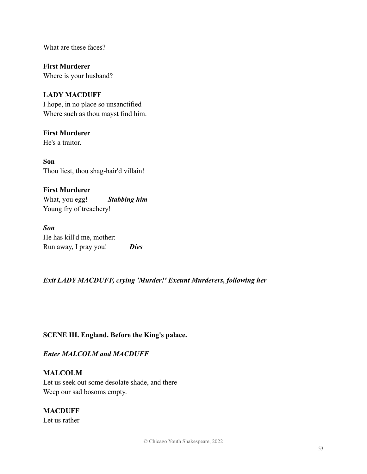What are these faces?

**First Murderer** Where is your husband?

## **LADY MACDUFF**

I hope, in no place so unsanctified Where such as thou mayst find him.

# **First Murderer**

He's a traitor.

**Son** Thou liest, thou shag-hair'd villain!

**First Murderer** What, you egg! *Stabbing him* Young fry of treachery!

*Son* He has kill'd me, mother: Run away, I pray you! *Dies*

## *Exit LADY MACDUFF, crying 'Murder!' Exeunt Murderers, following her*

## **SCENE III. England. Before the King's palace.**

*Enter MALCOLM and MACDUFF*

## **MALCOLM**

Let us seek out some desolate shade, and there Weep our sad bosoms empty.

#### **MACDUFF**

Let us rather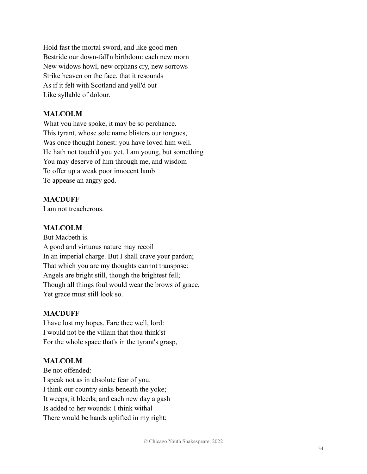Hold fast the mortal sword, and like good men Bestride our down-fall'n birthdom: each new morn New widows howl, new orphans cry, new sorrows Strike heaven on the face, that it resounds As if it felt with Scotland and yell'd out Like syllable of dolour.

# **MALCOLM**

What you have spoke, it may be so perchance. This tyrant, whose sole name blisters our tongues, Was once thought honest: you have loved him well. He hath not touch'd you yet. I am young, but something You may deserve of him through me, and wisdom To offer up a weak poor innocent lamb To appease an angry god.

## **MACDUFF**

I am not treacherous.

# **MALCOLM**

But Macbeth is. A good and virtuous nature may recoil In an imperial charge. But I shall crave your pardon; That which you are my thoughts cannot transpose: Angels are bright still, though the brightest fell; Though all things foul would wear the brows of grace, Yet grace must still look so.

# **MACDUFF**

I have lost my hopes. Fare thee well, lord: I would not be the villain that thou think'st For the whole space that's in the tyrant's grasp,

# **MALCOLM**

Be not offended: I speak not as in absolute fear of you. I think our country sinks beneath the yoke; It weeps, it bleeds; and each new day a gash Is added to her wounds: I think withal There would be hands uplifted in my right;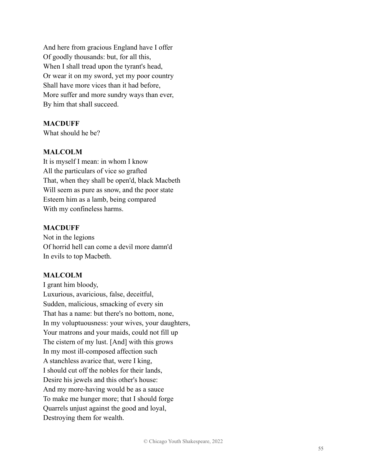And here from gracious England have I offer Of goodly thousands: but, for all this, When I shall tread upon the tyrant's head, Or wear it on my sword, yet my poor country Shall have more vices than it had before, More suffer and more sundry ways than ever, By him that shall succeed.

#### **MACDUFF**

What should he be?

#### **MALCOLM**

It is myself I mean: in whom I know All the particulars of vice so grafted That, when they shall be open'd, black Macbeth Will seem as pure as snow, and the poor state Esteem him as a lamb, being compared With my confineless harms.

#### **MACDUFF**

Not in the legions Of horrid hell can come a devil more damn'd In evils to top Macbeth.

#### **MALCOLM**

I grant him bloody, Luxurious, avaricious, false, deceitful, Sudden, malicious, smacking of every sin That has a name: but there's no bottom, none, In my voluptuousness: your wives, your daughters, Your matrons and your maids, could not fill up The cistern of my lust. [And] with this grows In my most ill-composed affection such A stanchless avarice that, were I king, I should cut off the nobles for their lands, Desire his jewels and this other's house: And my more-having would be as a sauce To make me hunger more; that I should forge Quarrels unjust against the good and loyal, Destroying them for wealth.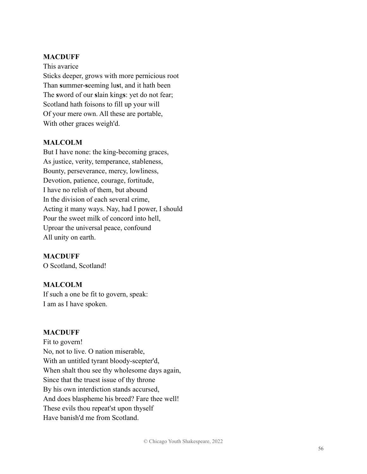#### **MACDUFF**

This avarice Sticks deeper, grows with more pernicious root Than **s**ummer-**s**eeming lu**s**t, and it hath been The **s**word of our **s**lain king**s**: yet do not fear; Scotland hath foisons to fill up your will Of your mere own. All these are portable, With other graces weigh'd.

## **MALCOLM**

But I have none: the king-becoming graces, As justice, verity, temperance, stableness, Bounty, perseverance, mercy, lowliness, Devotion, patience, courage, fortitude, I have no relish of them, but abound In the division of each several crime, Acting it many ways. Nay, had I power, I should Pour the sweet milk of concord into hell, Uproar the universal peace, confound All unity on earth.

#### **MACDUFF**

O Scotland, Scotland!

## **MALCOLM**

If such a one be fit to govern, speak: I am as I have spoken.

#### **MACDUFF**

Fit to govern! No, not to live. O nation miserable, With an untitled tyrant bloody-scepter'd, When shalt thou see thy wholesome days again, Since that the truest issue of thy throne By his own interdiction stands accursed, And does blaspheme his breed? Fare thee well! These evils thou repeat'st upon thyself Have banish'd me from Scotland.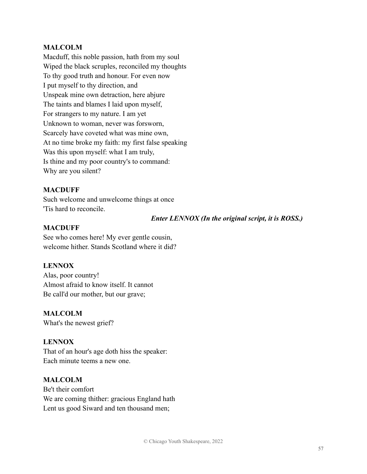#### **MALCOLM**

Macduff, this noble passion, hath from my soul Wiped the black scruples, reconciled my thoughts To thy good truth and honour. For even now I put myself to thy direction, and Unspeak mine own detraction, here abjure The taints and blames I laid upon myself, For strangers to my nature. I am yet Unknown to woman, never was forsworn, Scarcely have coveted what was mine own, At no time broke my faith: my first false speaking Was this upon myself: what I am truly, Is thine and my poor country's to command: Why are you silent?

#### **MACDUFF**

Such welcome and unwelcome things at once 'Tis hard to reconcile.

#### *Enter LENNOX (In the original script, it is ROSS.)*

#### **MACDUFF**

See who comes here! My ever gentle cousin, welcome hither. Stands Scotland where it did?

#### **LENNOX**

Alas, poor country! Almost afraid to know itself. It cannot Be call'd our mother, but our grave;

#### **MALCOLM**

What's the newest grief?

#### **LENNOX**

That of an hour's age doth hiss the speaker: Each minute teems a new one.

#### **MALCOLM**

Be't their comfort We are coming thither: gracious England hath Lent us good Siward and ten thousand men;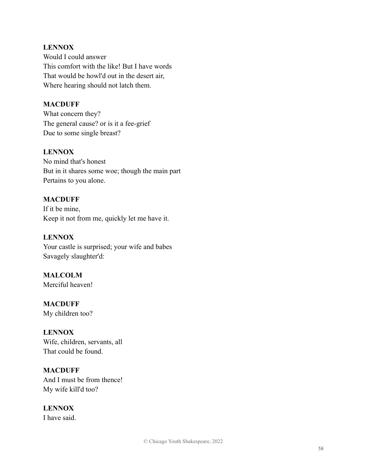# **LENNOX**

Would I could answer This comfort with the like! But I have words That would be howl'd out in the desert air, Where hearing should not latch them.

# **MACDUFF**

What concern they? The general cause? or is it a fee-grief Due to some single breast?

# **LENNOX**

No mind that's honest But in it shares some woe; though the main part Pertains to you alone.

# **MACDUFF**

If it be mine, Keep it not from me, quickly let me have it.

# **LENNOX**

Your castle is surprised; your wife and babes Savagely slaughter'd:

#### **MALCOLM** Merciful heaven!

**MACDUFF** My children too?

## **LENNOX**

Wife, children, servants, all That could be found.

# **MACDUFF**

And I must be from thence! My wife kill'd too?

# **LENNOX**

I have said.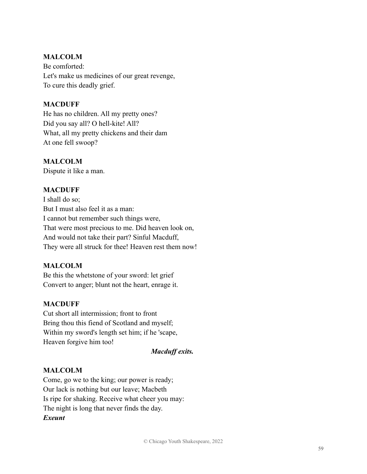# **MALCOLM**

Be comforted: Let's make us medicines of our great revenge, To cure this deadly grief.

# **MACDUFF**

He has no children. All my pretty ones? Did you say all? O hell-kite! All? What, all my pretty chickens and their dam At one fell swoop?

# **MALCOLM**

Dispute it like a man.

# **MACDUFF**

I shall do so; But I must also feel it as a man: I cannot but remember such things were, That were most precious to me. Did heaven look on, And would not take their part? Sinful Macduff, They were all struck for thee! Heaven rest them now!

## **MALCOLM**

Be this the whetstone of your sword: let grief Convert to anger; blunt not the heart, enrage it.

## **MACDUFF**

Cut short all intermission; front to front Bring thou this fiend of Scotland and myself; Within my sword's length set him; if he 'scape, Heaven forgive him too!

## *Macduff exits.*

# **MALCOLM**

Come, go we to the king; our power is ready; Our lack is nothing but our leave; Macbeth Is ripe for shaking. Receive what cheer you may: The night is long that never finds the day. *Exeunt*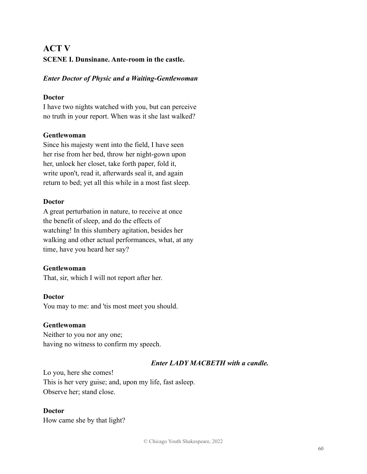# **ACT V SCENE I. Dunsinane. Ante-room in the castle.**

# *Enter Doctor of Physic and a Waiting-Gentlewoman*

# **Doctor**

I have two nights watched with you, but can perceive no truth in your report. When was it she last walked?

# **Gentlewoman**

Since his majesty went into the field, I have seen her rise from her bed, throw her night-gown upon her, unlock her closet, take forth paper, fold it, write upon't, read it, afterwards seal it, and again return to bed; yet all this while in a most fast sleep.

# **Doctor**

A great perturbation in nature, to receive at once the benefit of sleep, and do the effects of watching! In this slumbery agitation, besides her walking and other actual performances, what, at any time, have you heard her say?

## **Gentlewoman**

That, sir, which I will not report after her.

## **Doctor**

You may to me: and 'tis most meet you should.

# **Gentlewoman**

Neither to you nor any one; having no witness to confirm my speech.

# *Enter LADY MACBETH with a candle.*

Lo you, here she comes! This is her very guise; and, upon my life, fast asleep. Observe her; stand close.

## **Doctor**

How came she by that light?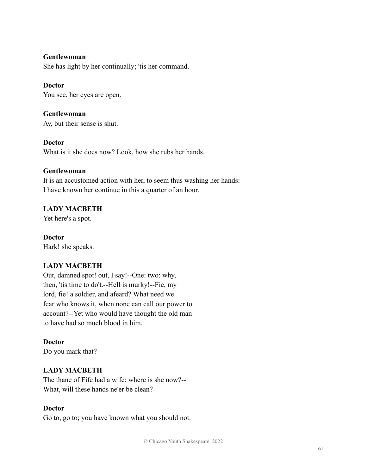#### **Gentlewoman**

She has light by her continually; 'tis her command.

## **Doctor**

You see, her eyes are open.

# **Gentlewoman**

Ay, but their sense is shut.

## **Doctor**

What is it she does now? Look, how she rubs her hands.

## **Gentlewoman**

It is an accustomed action with her, to seem thus washing her hands: I have known her continue in this a quarter of an hour.

# **LADY MACBETH**

Yet here's a spot.

# **Doctor** Hark! she speaks.

# **LADY MACBETH**

Out, damned spot! out, I say!--One: two: why, then, 'tis time to do't.--Hell is murky!--Fie, my lord, fie! a soldier, and afeard? What need we fear who knows it, when none can call our power to account?--Yet who would have thought the old man to have had so much blood in him.

#### **Doctor** Do you mark that?

# **LADY MACBETH**

The thane of Fife had a wife: where is she now?-- What, will these hands ne'er be clean?

## **Doctor**

Go to, go to; you have known what you should not.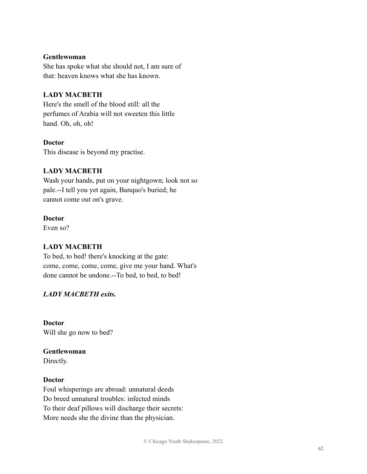#### **Gentlewoman**

She has spoke what she should not, I am sure of that: heaven knows what she has known.

# **LADY MACBETH**

Here's the smell of the blood still: all the perfumes of Arabia will not sweeten this little hand. Oh, oh, oh!

## **Doctor**

This disease is beyond my practise.

# **LADY MACBETH**

Wash your hands, put on your nightgown; look not so pale.--I tell you yet again, Banquo's buried; he cannot come out on's grave.

#### **Doctor**

Even so?

# **LADY MACBETH**

To bed, to bed! there's knocking at the gate: come, come, come, come, give me your hand. What's done cannot be undone.--To bed, to bed, to bed!

# *LADY MACBETH exits.*

**Doctor** Will she go now to bed?

# **Gentlewoman**

Directly.

## **Doctor**

Foul whisperings are abroad: unnatural deeds Do breed unnatural troubles: infected minds To their deaf pillows will discharge their secrets: More needs she the divine than the physician.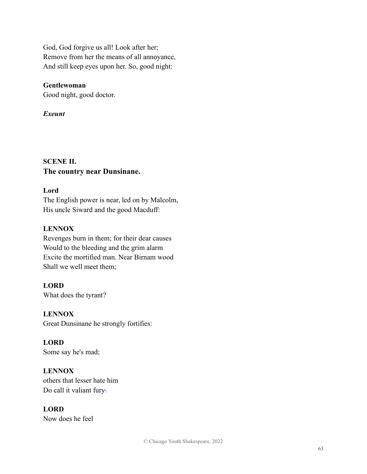God, God forgive us all! Look after her; Remove from her the means of all annoyance, And still keep eyes upon her. So, good night:

# **Gentlewoman**

Good night, good doctor.

# *Exeunt*

# **SCENE II. The country near Dunsinane.**

## **Lord**

The English power is near, led on by Malcolm, His uncle Siward and the good Macduff:

# **LENNOX**

Revenges burn in them; for their dear causes Would to the bleeding and the grim alarm Excite the mortified man. Near Birnam wood Shall we well meet them;

# **LORD**

What does the tyrant?

# **LENNOX**

Great Dunsinane he strongly fortifies:

# **LORD**

Some say he's mad;

# **LENNOX**

others that lesser hate him Do call it valiant fury-

# **LORD**

Now does he feel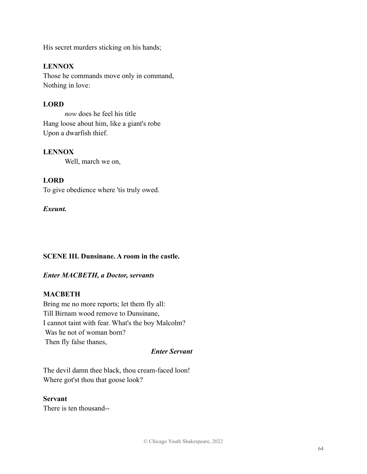His secret murders sticking on his hands;

# **LENNOX**

Those he commands move only in command, Nothing in love:

# **LORD**

*now* does he feel his title Hang loose about him, like a giant's robe Upon a dwarfish thief.

## **LENNOX**

Well, march we on,

# **LORD**

To give obedience where 'tis truly owed.

## *Exeunt.*

## **SCENE III. Dunsinane. A room in the castle.**

## *Enter MACBETH, a Doctor, servants*

## **MACBETH**

Bring me no more reports; let them fly all: Till Birnam wood remove to Dunsinane, I cannot taint with fear. What's the boy Malcolm? Was he not of woman born? Then fly false thanes,

## *Enter Servant*

The devil damn thee black, thou cream-faced loon! Where got'st thou that goose look?

#### **Servant**

There is ten thousand--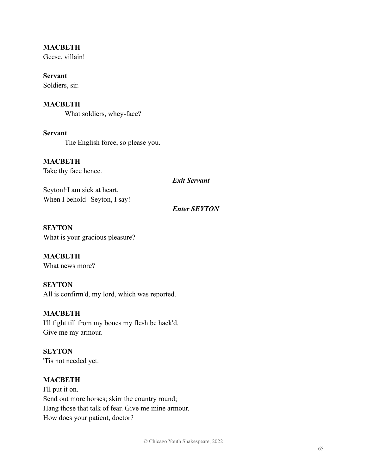# **MACBETH**

Geese, villain!

**Servant** Soldiers, sir.

#### **MACBETH**

What soldiers, whey-face?

**Servant** The English force, so please you.

**MACBETH**

Take thy face hence.

*Exit Servant*

Seyton!-I am sick at heart, When I behold--Seyton, I say!

*Enter SEYTON*

**SEYTON** What is your gracious pleasure?

# **MACBETH** What news more?

**SEYTON** All is confirm'd, my lord, which was reported.

**MACBETH** I'll fight till from my bones my flesh be hack'd. Give me my armour.

**SEYTON** 'Tis not needed yet.

#### **MACBETH**

I'll put it on. Send out more horses; skirr the country round; Hang those that talk of fear. Give me mine armour. How does your patient, doctor?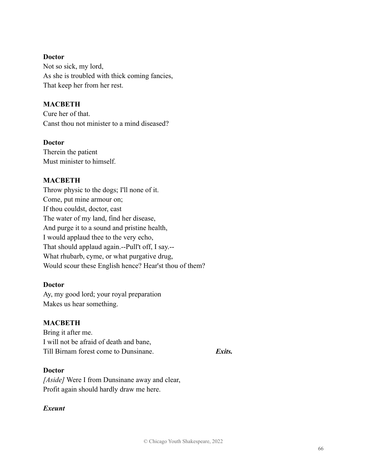#### **Doctor**

Not so sick, my lord, As she is troubled with thick coming fancies, That keep her from her rest.

# **MACBETH**

Cure her of that. Canst thou not minister to a mind diseased?

## **Doctor**

Therein the patient Must minister to himself.

# **MACBETH**

Throw physic to the dogs; I'll none of it. Come, put mine armour on; If thou couldst, doctor, cast The water of my land, find her disease, And purge it to a sound and pristine health, I would applaud thee to the very echo, That should applaud again.--Pull't off, I say.-- What rhubarb, cyme, or what purgative drug, Would scour these English hence? Hear'st thou of them?

## **Doctor**

Ay, my good lord; your royal preparation Makes us hear something.

## **MACBETH**

Bring it after me. I will not be afraid of death and bane, Till Birnam forest come to Dunsinane. *Exits.*

*[Aside]* Were I from Dunsinane away and clear, Profit again should hardly draw me here.

## *Exeunt*

**Doctor**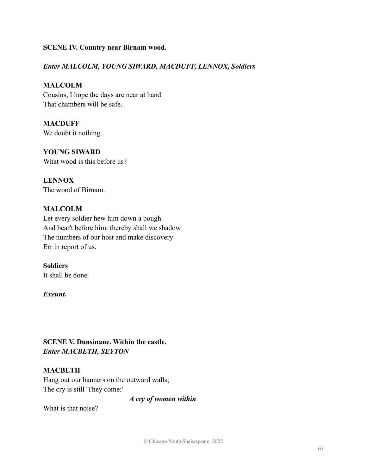#### **SCENE IV. Country near Birnam wood.**

#### *Enter MALCOLM, YOUNG SIWARD, MACDUFF, LENNOX, Soldiers*

# **MALCOLM**

Cousins, I hope the days are near at hand That chambers will be safe.

**MACDUFF** We doubt it nothing.

**YOUNG SIWARD** What wood is this before us?

**LENNOX** The wood of Birnam.

#### **MALCOLM**

Let every soldier hew him down a bough And bear't before him: thereby shall we shadow The numbers of our host and make discovery Err in report of us.

#### **Soldiers**

It shall be done.

#### *Exeunt.*

# **SCENE V. Dunsinane. Within the castle.** *Enter MACBETH, SEYTON*

#### **MACBETH**

Hang out our banners on the outward walls; The cry is still 'They come:'

*A cry of women within*

What is that noise?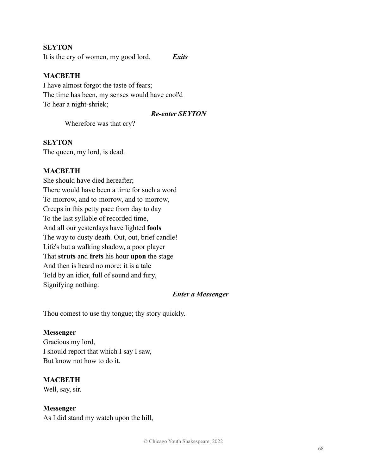#### **SEYTON**

It is the cry of women, my good lord. *Exits*

#### **MACBETH**

I have almost forgot the taste of fears; The time has been, my senses would have cool'd To hear a night-shriek;

#### *Re-enter SEYTON*

Wherefore was that cry?

#### **SEYTON**

The queen, my lord, is dead.

#### **MACBETH**

She should have died hereafter; There would have been a time for such a word To-morrow, and to-morrow, and to-morrow, Creeps in this petty pace from day to day To the last syllable of recorded time, And all our yesterdays have lighted **fools** The way to dusty death. Out, out, brief candle! Life's but a walking shadow, a poor player That **struts** and **frets** his hour **upon** the stage And then is heard no more: it is a tale Told by an idiot, full of sound and fury, Signifying nothing.

#### *Enter a Messenger*

Thou comest to use thy tongue; thy story quickly.

#### **Messenger**

Gracious my lord, I should report that which I say I saw, But know not how to do it.

#### **MACBETH**

Well, say, sir.

#### **Messenger**

As I did stand my watch upon the hill,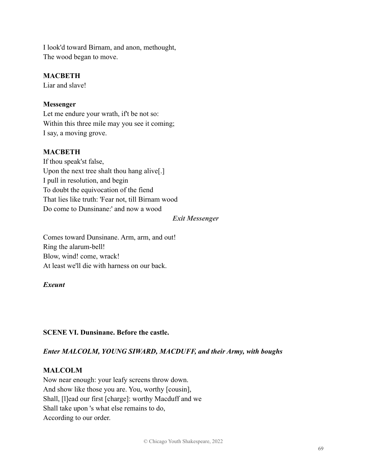I look'd toward Birnam, and anon, methought, The wood began to move.

## **MACBETH**

Liar and slave!

# **Messenger**

Let me endure your wrath, if't be not so: Within this three mile may you see it coming; I say, a moving grove.

# **MACBETH**

If thou speak'st false, Upon the next tree shalt thou hang alive[.] I pull in resolution, and begin To doubt the equivocation of the fiend That lies like truth: 'Fear not, till Birnam wood Do come to Dunsinane:' and now a wood

## *Exit Messenger*

Comes toward Dunsinane. Arm, arm, and out! Ring the alarum-bell! Blow, wind! come, wrack! At least we'll die with harness on our back.

## *Exeunt*

# **SCENE VI. Dunsinane. Before the castle.**

# *Enter MALCOLM, YOUNG SIWARD, MACDUFF, and their Army, with boughs*

# **MALCOLM**

Now near enough: your leafy screens throw down. And show like those you are. You, worthy [cousin], Shall, [l]ead our first [charge]: worthy Macduff and we Shall take upon 's what else remains to do, According to our order.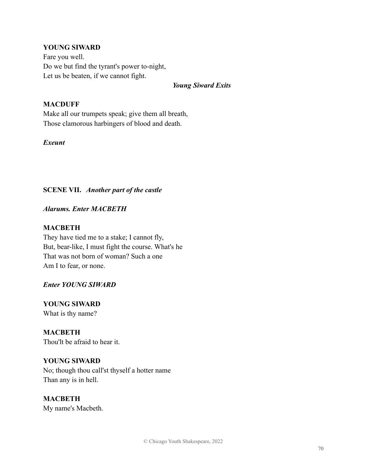# **YOUNG SIWARD**

Fare you well. Do we but find the tyrant's power to-night, Let us be beaten, if we cannot fight.

#### *Young Siward Exits*

#### **MACDUFF**

Make all our trumpets speak; give them all breath, Those clamorous harbingers of blood and death.

#### *Exeunt*

# **SCENE VII.** *Another part of the castle*

#### *Alarums. Enter MACBETH*

#### **MACBETH**

They have tied me to a stake; I cannot fly, But, bear-like, I must fight the course. What's he That was not born of woman? Such a one Am I to fear, or none.

## *Enter YOUNG SIWARD*

**YOUNG SIWARD** What is thy name?

**MACBETH** Thou'lt be afraid to hear it.

# **YOUNG SIWARD**

No; though thou call'st thyself a hotter name Than any is in hell.

**MACBETH** My name's Macbeth.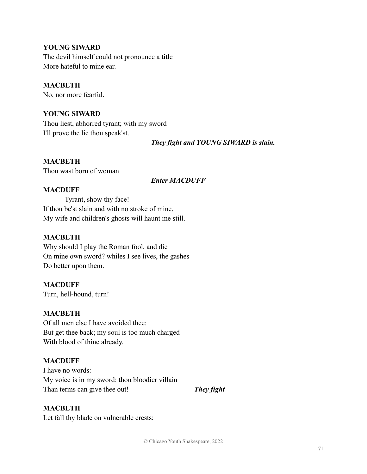## **YOUNG SIWARD**

The devil himself could not pronounce a title More hateful to mine ear.

#### **MACBETH**

No, nor more fearful.

#### **YOUNG SIWARD**

Thou liest, abhorred tyrant; with my sword I'll prove the lie thou speak'st.

*They fight and YOUNG SIWARD is slain.*

#### **MACBETH**

Thou wast born of woman

#### *Enter MACDUFF*

#### **MACDUFF**

Tyrant, show thy face! If thou be'st slain and with no stroke of mine, My wife and children's ghosts will haunt me still.

#### **MACBETH**

Why should I play the Roman fool, and die On mine own sword? whiles I see lives, the gashes Do better upon them.

#### **MACDUFF**

Turn, hell-hound, turn!

#### **MACBETH**

Of all men else I have avoided thee: But get thee back; my soul is too much charged With blood of thine already.

#### **MACDUFF**

I have no words: My voice is in my sword: thou bloodier villain Than terms can give thee out! *They fight*

## **MACBETH**

Let fall thy blade on vulnerable crests;